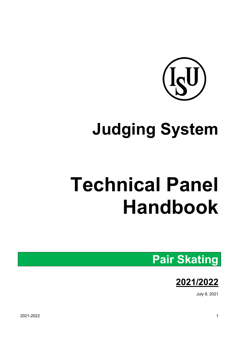

# **Judging System**

# **Technical Panel Handbook**

## **Pair Skating**



July 8, 2021

2021-2022 1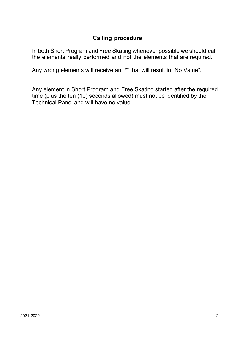## **Calling procedure**

In both Short Program and Free Skating whenever possible we should call the elements really performed and not the elements that are required.

Any wrong elements will receive an "\*" that will result in "No Value".

Any element in Short Program and Free Skating started after the required time (plus the ten (10) seconds allowed) must not be identified by the Technical Panel and will have no value.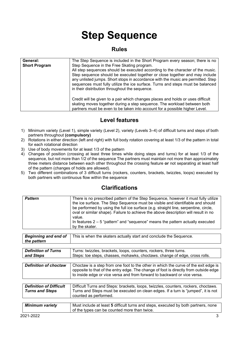## **Step Sequence**

#### **Rules**

| General:             | The Step Sequence is included in the Short Program every season; there is no                                                                                                                                                                                                                        |
|----------------------|-----------------------------------------------------------------------------------------------------------------------------------------------------------------------------------------------------------------------------------------------------------------------------------------------------|
| <b>Short Program</b> | Step Sequence in the Free Skating program.                                                                                                                                                                                                                                                          |
|                      | All step sequences should be executed according to the character of the music.                                                                                                                                                                                                                      |
|                      | Step sequence should be executed together or close together and may include<br>any unlisted jumps. Short stops in accordance with the music are permitted. Step<br>sequences must fully utilize the ice surface. Turns and steps must be balanced<br>in their distribution throughout the sequence. |
|                      | Credit will be given to a pair which changes places and holds or uses difficult<br>skating moves together during a step sequence. The workload between both<br>partners must be even to be taken into account for a possible higher Level.                                                          |

## **Level features**

- 1) Minimum variety (Level 1), simple variety (Level 2), variety (Levels 3–4) of difficult turns and steps of both partners throughout **(compulsory)**
- 2) Rotations in either direction (left and right) with full body rotation covering at least 1/3 of the pattern in total for each rotational direction
- 3) Use of body movements for at least 1/3 of the pattern
- 4) Changes of position (crossing at least three times while doing steps and turns) for at least 1/3 of the sequence, but not more than 1/2 of the sequence The partners must maintain not more than approximately three meters distance between each other throughout the crossing feature **or** not separating at least half of the pattern (changes of holds are allowed).
- 5) Two different combinations of 3 difficult turns (rockers, counters, brackets, twizzles, loops) executed by both partners with continuous flow within the sequence

| 2021-2022                                  | 3                                                                                                                                                                                                                                                                     |
|--------------------------------------------|-----------------------------------------------------------------------------------------------------------------------------------------------------------------------------------------------------------------------------------------------------------------------|
| <b>Minimum variety</b>                     | Must include at least 5 difficult turns and steps, executed by both partners, none<br>of the types can be counted more than twice.                                                                                                                                    |
|                                            |                                                                                                                                                                                                                                                                       |
| <b>Turns and Steps</b>                     | Turns and Steps must be executed on clean edges. If a turn is "jumped", it is not<br>counted as performed.                                                                                                                                                            |
| <b>Definition of Difficult</b>             | Difficult Turns and Steps: brackets, loops, twizzles, counters, rockers, choctaws.                                                                                                                                                                                    |
|                                            |                                                                                                                                                                                                                                                                       |
| <b>Definition of choctaw</b>               | Choctaw is a step from one foot to the other in which the curve of the exit edge is<br>opposite to that of the entry edge. The change of foot is directly from outside edge<br>to inside edge or vice versa and from forward to backward or vice versa.               |
|                                            |                                                                                                                                                                                                                                                                       |
| <b>Definition of Turns</b><br>and Steps    | Turns: twizzles, brackets, loops, counters, rockers, three turns.<br>Steps: toe steps, chasses, mohawks, choctaws. change of edge, cross rolls.                                                                                                                       |
|                                            |                                                                                                                                                                                                                                                                       |
| <b>Beginning and end of</b><br>the pattern | This is when the skaters actually start and conclude the Sequence.                                                                                                                                                                                                    |
|                                            |                                                                                                                                                                                                                                                                       |
|                                            | In features $2 - 5$ "pattern" and "sequence" means the pattern actually executed<br>by the skater.                                                                                                                                                                    |
|                                            | the ice surface. The Step Sequence must be visible and identifiable and should<br>be performed by using the full ice surface (e.g. straight line, serpentine, circle,<br>oval or similar shape). Failure to achieve the above description will result in no<br>value. |
| <b>Pattern</b>                             | There is no prescribed pattern of the Step Sequence, however it must fully utilize                                                                                                                                                                                    |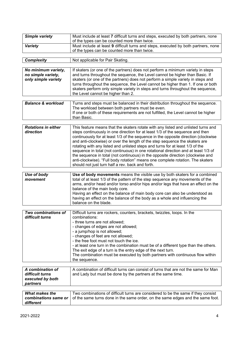| <b>Simple variety</b>                                               | Must include at least 7 difficult turns and steps, executed by both partners, none<br>of the types can be counted more than twice.                                                                                                                                                                                                                                                                                                                                                                                                                                                                                                                                                                                                      |
|---------------------------------------------------------------------|-----------------------------------------------------------------------------------------------------------------------------------------------------------------------------------------------------------------------------------------------------------------------------------------------------------------------------------------------------------------------------------------------------------------------------------------------------------------------------------------------------------------------------------------------------------------------------------------------------------------------------------------------------------------------------------------------------------------------------------------|
| <b>Variety</b>                                                      | Must include at least 9 difficult turns and steps, executed by both partners, none<br>of the types can be counted more than twice.                                                                                                                                                                                                                                                                                                                                                                                                                                                                                                                                                                                                      |
| <b>Complexity</b>                                                   | Not applicable for Pair Skating.                                                                                                                                                                                                                                                                                                                                                                                                                                                                                                                                                                                                                                                                                                        |
|                                                                     |                                                                                                                                                                                                                                                                                                                                                                                                                                                                                                                                                                                                                                                                                                                                         |
| No minimum variety,<br>no simple variety,<br>only simple variety    | If skaters (or one of the partners) does not perform a minimum variety in steps<br>and turns throughout the sequence, the Level cannot be higher than Basic. If<br>skaters (or one of the partners) does not perform a simple variety in steps and<br>turns throughout the sequence, the Level cannot be higher than 1. If one or both<br>skaters perform only simple variety in steps and turns throughout the sequence,<br>the Level cannot be higher than 2.                                                                                                                                                                                                                                                                         |
| <b>Balance &amp; workload</b>                                       | Turns and steps must be balanced in their distribution throughout the sequence.<br>The workload between both partners must be even.<br>If one or both of these requirements are not fulfilled, the Level cannot be higher<br>than Basic.                                                                                                                                                                                                                                                                                                                                                                                                                                                                                                |
| <b>Rotations in either</b><br>direction                             | This feature means that the skaters rotate with any listed and unlisted turns and<br>steps continuously in one direction for at least 1/3 of the sequence and then<br>continuously for at least 1/3 of the sequence in the opposite direction (clockwise<br>and anti-clockwise) or over the length of the step sequence the skaters are<br>rotating with any listed and unlisted steps and turns for at least 1/3 of the<br>sequence in total (not continuous) in one rotational direction and at least 1/3 of<br>the sequence in total (not continuous) in the opposite direction (clockwise and<br>anti-clockwise). "Full body rotation" means one complete rotation. The skaters<br>should not just turn half a rev. back and forth. |
|                                                                     |                                                                                                                                                                                                                                                                                                                                                                                                                                                                                                                                                                                                                                                                                                                                         |
| Use of body<br>movement                                             | Use of body movements means the visible use by both skaters for a combined<br>total of at least 1/3 of the pattern of the step sequence any movements of the<br>arms, and/or head and/or torso and/or hips and/or legs that have an effect on the<br>balance of the main body core.<br>Having an effect on the balance of main body core can also be understood as<br>having an effect on the balance of the body as a whole and influencing the<br>balance on the blade.                                                                                                                                                                                                                                                               |
| Two combinations of                                                 | Difficult turns are rockers, counters, brackets, twizzles, loops. In the                                                                                                                                                                                                                                                                                                                                                                                                                                                                                                                                                                                                                                                                |
| difficult turns                                                     | combinations:<br>- three turns are not allowed;<br>- changes of edges are not allowed;<br>- a jump/hop is not allowed;<br>- changes of feet are not allowed;<br>- the free foot must not touch the ice.<br>- at least one turn in the combination must be of a different type than the others.<br>The exit edge of a turn is the entry edge of the next turn.<br>The combination must be executed by both partners with continuous flow within<br>the sequence.                                                                                                                                                                                                                                                                         |
|                                                                     |                                                                                                                                                                                                                                                                                                                                                                                                                                                                                                                                                                                                                                                                                                                                         |
| A combination of<br>difficult turns<br>executed by both<br>partners | A combination of difficult turns can consist of turns that are not the same for Man<br>and Lady but must be done by the partners at the same time.                                                                                                                                                                                                                                                                                                                                                                                                                                                                                                                                                                                      |
|                                                                     |                                                                                                                                                                                                                                                                                                                                                                                                                                                                                                                                                                                                                                                                                                                                         |
| <b>What makes the</b><br>combinations same or<br>different          | Two combinations of difficult turns are considered to be the same if they consist<br>of the same turns done in the same order, on the same edges and the same foot.                                                                                                                                                                                                                                                                                                                                                                                                                                                                                                                                                                     |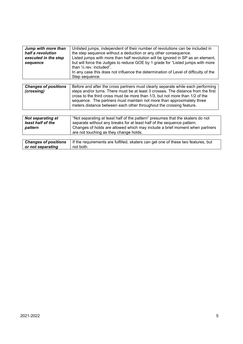| Jump with more than<br>half a revolution<br>executed in the step<br>sequence | Unlisted jumps, independent of their number of revolutions can be included in<br>the step sequence without a deduction or any other consequence.<br>Listed jumps with more than half revolution will be ignored in SP as an element,<br>but will force the Judges to reduce GOE by 1 grade for "Listed jumps with more<br>than $\frac{1}{2}$ rev. included".<br>In any case this does not influence the determination of Level of difficulty of the<br>Step sequence. |
|------------------------------------------------------------------------------|-----------------------------------------------------------------------------------------------------------------------------------------------------------------------------------------------------------------------------------------------------------------------------------------------------------------------------------------------------------------------------------------------------------------------------------------------------------------------|
| <b>Changes of positions</b><br>(crossing)                                    | Before and after the cross partners must clearly separate while each performing<br>steps and/or turns. There must be at least 3 crosses. The distance from the first<br>cross to the third cross must be more than 1/3, but not more than 1/2 of the<br>sequence. The partners must maintain not more than approximately three<br>meters distance between each other throughout the crossing feature.                                                                 |
| <b>Not separating at</b><br>least half of the<br>pattern                     | "Not separating at least half of the pattern" presumes that the skaters do not<br>separate without any breaks for at least half of the sequence pattern.<br>Changes of holds are allowed which may include a brief moment when partners<br>are not touching as they change holds.                                                                                                                                                                                     |
| <b>Changes of positions</b><br>or not separating                             | If the requirements are fulfilled, skaters can get one of these two features, but<br>not both.                                                                                                                                                                                                                                                                                                                                                                        |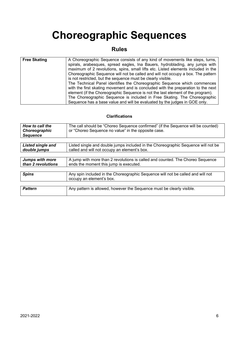## **Choreographic Sequences**

## **Rules**

| <b>Free Skating</b> | A Choreographic Sequence consists of any kind of movements like steps, turns,<br>spirals, arabesques, spread eagles, Ina Bauers, hydroblading, any jumps with<br>maximum of 2 revolutions, spins, small lifts etc. Listed elements included in the<br>Choreographic Sequence will not be called and will not occupy a box. The pattern<br>is not restricted, but the sequence must be clearly visible.       |
|---------------------|--------------------------------------------------------------------------------------------------------------------------------------------------------------------------------------------------------------------------------------------------------------------------------------------------------------------------------------------------------------------------------------------------------------|
|                     | The Technical Panel identifies the Choreographic Sequence which commences<br>with the first skating movement and is concluded with the preparation to the next<br>element (if the Choreographic Sequence is not the last element of the program).<br>The Choreographic Sequence is included in Free Skating. The Choreographic<br>Sequence has a base value and will be evaluated by the judges in GOE only. |

| How to call the<br>Choreographic<br><b>Sequence</b> | The call should be "Choreo Sequence confirmed" (if the Sequence will be counted)<br>or "Choreo Sequence no value" in the opposite case. |
|-----------------------------------------------------|-----------------------------------------------------------------------------------------------------------------------------------------|
|                                                     |                                                                                                                                         |
| <b>Listed single and</b><br>double jumps            | Listed single and double jumps included in the Choreographic Sequence will not be<br>called and will not occupy an element's box.       |
|                                                     |                                                                                                                                         |
| <b>Jumps with more</b><br>than 2 revolutions        | A jump with more than 2 revolutions is called and counted. The Choreo Sequence<br>ends the moment this jump is executed.                |
|                                                     |                                                                                                                                         |
| <b>Spins</b>                                        | Any spin included in the Choreographic Sequence will not be called and will not<br>occupy an element's box.                             |
|                                                     |                                                                                                                                         |
| <b>Pattern</b>                                      | Any pattern is allowed, however the Sequence must be clearly visible.                                                                   |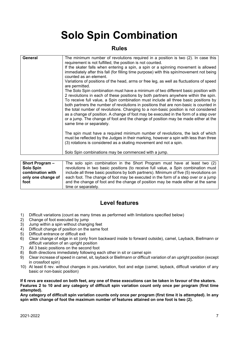## **Solo Spin Combination**

#### **Rules**

| General | The minimum number of revolutions required in a position is two (2). In case this<br>requirement is not fulfilled, the position is not counted.<br>If the skater falls when entering a spin, a spin or a spinning movement is allowed<br>immediately after this fall (for filling time purpose) with this spin/movement not being<br>counted as an element.<br>Variations of positions of the head, arms or free leg, as well as fluctuations of speed<br>are permitted.<br>The Solo Spin combination must have a minimum of two different basic position with<br>2 revolutions in each of these positions by both partners anywhere within the spin.<br>To receive full value, a Spin combination must include all three basic positions by<br>both partners the number of revolutions in positions that are non-basic is counted in<br>the total number of revolutions. Changing to a non-basic position is not considered<br>as a change of position. A change of foot may be executed in the form of a step over<br>or a jump. The change of foot and the change of position may be made either at the<br>same time or separately.<br>The spin must have a required minimum number of revolutions, the lack of which<br>must be reflected by the Judges in their marking, however a spin with less than three<br>(3) rotations is considered as a skating movement and not a spin.<br>Solo Spin combinations may be commenced with a jump. |
|---------|------------------------------------------------------------------------------------------------------------------------------------------------------------------------------------------------------------------------------------------------------------------------------------------------------------------------------------------------------------------------------------------------------------------------------------------------------------------------------------------------------------------------------------------------------------------------------------------------------------------------------------------------------------------------------------------------------------------------------------------------------------------------------------------------------------------------------------------------------------------------------------------------------------------------------------------------------------------------------------------------------------------------------------------------------------------------------------------------------------------------------------------------------------------------------------------------------------------------------------------------------------------------------------------------------------------------------------------------------------------------------------------------------------------------------------------------|
|         |                                                                                                                                                                                                                                                                                                                                                                                                                                                                                                                                                                                                                                                                                                                                                                                                                                                                                                                                                                                                                                                                                                                                                                                                                                                                                                                                                                                                                                                |

| <b>Short Program –</b> | The solo spin combination in the Short Program must have at least two (2)               |
|------------------------|-----------------------------------------------------------------------------------------|
| <b>Solo Spin</b>       | revolutions in two basic positions (to receive full value, a Spin combination must      |
| combination with       | include all three basic positions by both partners). Minimum of five (5) revolutions on |
| only one change of     | each foot. The change of foot may be executed in the form of a step over or a jump      |
| foot                   | and the change of foot and the change of position may be made either at the same        |
|                        | time or separately.                                                                     |

### **Level features**

- 1) Difficult variations (count as many times as performed with limitations specified below) 2) Change of foot executed by jump
- 
- 3) Jump within a spin without changing feet
- 4) Difficult change of position on the same foot
- 5) Difficult entrance or difficult exit
- 6) Clear change of edge in sit (only from backward inside to forward outside), camel, Layback, Biellmann or difficult variation of an upright position
- 7) All 3 basic positions on the second foot
- 8) Both directions immediately following each other in sit or camel spin
- 9) Clear increase of speed in camel, sit, layback or Biellmann or difficult variation of an upright position (except in crossfoot spin)
- 10) At least 6 rev. without changes in pos./variation, foot and edge (camel, layback, difficult variation of any basic or non-basic position)

**If 6 revs are executed on both feet, any one of these executions can be taken in favour of the skaters. Features 2 to 10 and any category of difficult spin variation count only once per program (first time attempted).** 

**Any category of difficult spin variation counts only once per program (first time it is attempted). In any spin with change of foot the maximum number of features attained on one foot is two (2).**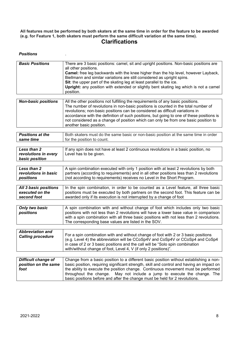**All features must be performed by both skaters at the same time in order for the feature to be awarded (e.g. for Feature 1, both skaters must perform the same difficult variation at the same time).**

#### **Clarifications**

#### *Positions* .

| <b>Basic Positions</b>     | There are 3 basic positions: camel, sit and upright positions. Non-basic positions are<br>all other positions. |
|----------------------------|----------------------------------------------------------------------------------------------------------------|
|                            | Camel: free leg backwards with the knee higher than the hip level, however Layback,                            |
|                            | Biellmann and similar variations are still considered as upright spins.                                        |
|                            | Sit: the upper part of the skating leg at least parallel to the ice.                                           |
|                            | Upright: any position with extended or slightly bent skating leg which is not a camel                          |
|                            | position.                                                                                                      |
|                            |                                                                                                                |
| <b>Non-basic positions</b> | All the other positions not fulfilling the requirements of any basic positions.                                |
|                            | The number of revolutions in non-basic positions is counted in the total number of                             |
|                            | revolutions; non-basic positions can be considered as difficult variations in                                  |
|                            | accordance with the definition of such positions, but going to one of these positions is                       |
|                            | not considered as a change of position which can only be from one basic position to                            |
|                            | another basic position.                                                                                        |
| <b>Positions at the</b>    | Both skaters must do the same basic or non-basic position at the same time in order                            |
| same time                  | for the position to count.                                                                                     |
|                            |                                                                                                                |
| Less than 2                | If any spin does not have at least 2 continuous revolutions in a basic position, no                            |
| revolutions in every       | Level has to be given.                                                                                         |
| basic position             |                                                                                                                |
|                            |                                                                                                                |
| Less than 2                | A spin combination executed with only 1 position with at least 2 revolutions by both                           |
| revolutions in basic       | partners (according to requirements) and in all other positions less than 2 revolutions                        |
| positions                  | (not according to requirements) receives no Level in the Short Program.                                        |
|                            |                                                                                                                |
| All 3 basic positions      | In the spin combination, in order to be counted as a Level feature, all three basic                            |
| executed on the            | positions must be executed by both partners on the second foot. This feature can be                            |
| second foot                | awarded only if its execution is not interrupted by a change of foot                                           |
|                            |                                                                                                                |
| Only two basic             | A spin combination with and without change of foot which includes only two basic                               |
| positions                  | positions with not less than 2 revolutions will have a lower base value in comparison                          |
|                            | with a spin combination with all three basic positions with not less than 2 revolutions.                       |
|                            | The corresponding base values are listed in the SOV.                                                           |
|                            |                                                                                                                |
| <b>Abbreviation and</b>    | For a spin combination with and without change of foot with 2 or 3 basic positions                             |
| <b>Calling procedure</b>   | (e.g. Level 4) the abbreviation will be CCoSp4V and CoSp4V or CCoSp4 and CoSp4                                 |
|                            | in case of 2 or 3 basic positions and the call will be "Solo spin combination                                  |

| Difficult change of  | Change from a basic position to a different basic position without establishing a non-    |
|----------------------|-------------------------------------------------------------------------------------------|
| position on the same | basic position, requiring significant strength, skill and control and having an impact on |
| foot                 | the ability to execute the position change. Continuous movement must be performed         |
|                      | throughout the change. May not include a jump to execute the change. The                  |
|                      | basic positions before and after the change must be held for 2 revolutions.               |

with/without change of foot, Level 4, V (if only 2 positions)".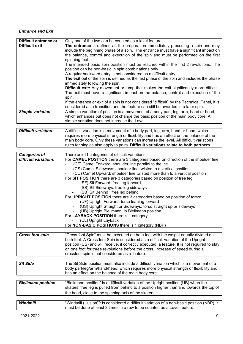#### *Entrance and Exit*

| Difficult entrance or   | Only one of the two can be counted as a level feature.                                                                                                                   |
|-------------------------|--------------------------------------------------------------------------------------------------------------------------------------------------------------------------|
| Difficult exit          | The entrance is defined as the preparation immediately preceding a spin and may<br>include the beginning phase of a spin. The entrance must have a significant impact on |
|                         | the balance, control and execution of the spin and must be performed on the first                                                                                        |
|                         | spinning foot.                                                                                                                                                           |
|                         | The intended basic spin position must be reached within the first 2 revolutions. The                                                                                     |
|                         | position can be non-basic in spin combinations only.                                                                                                                     |
|                         | A regular backward entry is not considered as a difficult entry.                                                                                                         |
|                         | The exit out of the spin is defined as the last phase of the spin and includes the phase                                                                                 |
|                         | immediately following the spin.                                                                                                                                          |
|                         | <b>Difficult exit:</b> Any movement or jump that makes the exit significantly more difficult.                                                                            |
|                         | The exit must have a significant impact on the balance, control and execution of the                                                                                     |
|                         | spin.                                                                                                                                                                    |
|                         | If the entrance or exit of a spin is not considered "difficult" by the Technical Panel, it is                                                                            |
|                         | considered as a transition and the feature can still be awarded in a later spin.                                                                                         |
| <b>Simple variation</b> | A simple variation of position is a movement of a body part, leg, arm, hand or head,                                                                                     |
|                         | which enhances but does not change the basic position of the main body core. A                                                                                           |
|                         | simple variation does not increase the Level.                                                                                                                            |
|                         |                                                                                                                                                                          |
| Difficult variation     | A difficult variation is a movement of a body part leg arm hand or head which                                                                                            |

| Difficult variation | A difficult variation is a movement of a body part, leg, arm, hand or head, which       |
|---------------------|-----------------------------------------------------------------------------------------|
|                     | 'requires more physical strength or flexibility and has an effect on the balance of the |
|                     | main body core. Only these variations can increase the level. All difficult variations  |
|                     | rules for singles also apply to pairs. Difficult variations relate to both partners.    |

| <b>Categories of</b> | There are 11 categories of difficult variations:                                   |
|----------------------|------------------------------------------------------------------------------------|
| difficult variations | For CAMEL POSITION there are 3 categories based on direction of the shoulder line: |
|                      | (CF) Camel Forward: shoulder line parallel to the ice                              |
|                      | (CS) Camel Sideways: shoulder line twisted to a vertical position                  |
|                      | (CU) Camel Upward: shoulder line twisted more than to a vertical position          |
|                      | For SIT POSITION there are 3 categories based on position of free leg:             |
|                      | (SF) Sit Forward: free leg forward                                                 |
|                      | (SS) Sit Sideways: free leg sideways                                               |
|                      | (SB) Sit Behind : free leg behind                                                  |
|                      | For UPRIGHT POSITION there are 3 categories based on position of torso:            |
|                      | (UF) Upright Forward: torso leaning forward                                        |
|                      | (US) Upright Straight or Sideways: torso straight up or sideways                   |
|                      | (UB) Upright Biellmann: in Biellmann position                                      |
|                      | For LAYBACK POSITION there is 1 category                                           |
|                      | (UL) Upright Layback                                                               |
|                      | For NON-BASIC POSITIONS there is 1 category (NBP)                                  |
|                      |                                                                                    |

| <b>Cross foot spin</b>    | "Cross foot Spin" must be executed on both feet with the weight equally divided on<br>both feet. A Cross foot Spin is considered as a difficult variation of the Upright<br>position (US) and will receive, if correctly executed, a feature. It is not required to stay<br>on one foot for three revolutions before the cross. Increase of speed during a<br>crossfoot spin is not considered as a feature. |
|---------------------------|--------------------------------------------------------------------------------------------------------------------------------------------------------------------------------------------------------------------------------------------------------------------------------------------------------------------------------------------------------------------------------------------------------------|
|                           |                                                                                                                                                                                                                                                                                                                                                                                                              |
| <b>Sit Side</b>           | The Sit Side position must also include a difficult variation which is a movement of a<br>body part/leg/arm/hand/head, which requires more physical strength or flexibility and<br>has an effect on the balance of the main body core.                                                                                                                                                                       |
|                           |                                                                                                                                                                                                                                                                                                                                                                                                              |
| <b>Biellmann position</b> | "Biellmann position" is a difficult variation of the Upright position (UB) when the                                                                                                                                                                                                                                                                                                                          |

| ---- - - ---<br>$\cdots$ $\cdots$ $\cdots$<br>.<br>.                                     |
|------------------------------------------------------------------------------------------|
|                                                                                          |
| the head, close to the spinning axis of the skaters.                                     |
| skaters' free leg is pulled from behind to a position higher than and towards the top of |

| Windmill | "Windmill (Illusion)": is considered a difficult variation of a non-basic position (NBP), it |
|----------|----------------------------------------------------------------------------------------------|
|          | must be done at least 3 times in a row to be counted as a Level feature.                     |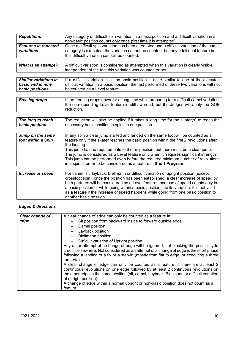| <b>Repetitions</b>          | Any category of difficult spin variation in a basic position and a difficult variation in a  |
|-----------------------------|----------------------------------------------------------------------------------------------|
|                             | non-basic position counts only once (first time it is attempted).                            |
| <b>Features in repeated</b> | Once a difficult spin variation has been attempted and a difficult variation of the same     |
| variations                  | category is executed, the variation cannot be counted, but any additional feature in         |
|                             | this difficult variation can still be counted.                                               |
|                             |                                                                                              |
| What is an attempt?         | A difficult variation is considered as attempted when this variation is clearly visible,     |
|                             | independent of the fact this variation was counted or not.                                   |
|                             |                                                                                              |
| Similar variations in       | If a difficult variation in a non-basic position is quite similar to one of the executed     |
| basic and in non-           | difficult variation in a basic position, the last performed of these two variations will not |
| basic positions             | be counted as a Level feature.                                                               |
|                             |                                                                                              |
| Free leg drops              | If the free leg drops down for a long time while preparing for a difficult camel variation,  |
|                             | the corresponding Level feature is still awarded, but the Judges will apply the GOE          |
|                             | reduction.                                                                                   |
|                             |                                                                                              |
| Too long to reach           | The reduction will also be applied if it takes a long time for the skater(s) to reach the    |
| basic position              | necessary basic position in spins in one position.                                           |
|                             |                                                                                              |
| Jump on the same            | In any spin a clear jump started and landed on the same foot will be counted as a            |
| foot within a Spin          | feature only if the skater reaches the basic position within the first 2 revolutions after   |
|                             | the landing.                                                                                 |
|                             | This jump has no requirements to the air position, but there must be a clear jump.           |
|                             | The jump is considered as a Level feature only when it "requires significant strength".      |
|                             | This jump can be performed even before the required minimum number of revolutions            |
|                             | in a spin in order to be considered as a feature in Short Program.                           |
|                             |                                                                                              |
| <b>Increase of speed</b>    | For camel, sit, layback, Biellmann or difficult variation of upright position (except        |
|                             | crossfoot spin), once the position has been established, a clear increase of speed by        |
|                             | both partners will be considered as a Level feature. Increase of speed counts only in        |
|                             | a basic position or while going within a basic position into its variation. It is not valid  |
|                             | as a feature if the increase of speed happens while going from one basic position to         |
|                             | another basic position.                                                                      |

#### *Edges & directions*

| Clear change of | A clear change of edge can only be counted as a feature in:                                |
|-----------------|--------------------------------------------------------------------------------------------|
| edge            | Sit position from backward inside to forward outside edge                                  |
|                 | Camel position                                                                             |
|                 | Layback position                                                                           |
|                 | <b>Biellmann position</b>                                                                  |
|                 | Difficult variation of Upright position                                                    |
|                 | Any other attempt of a change of edge will be ignored, not blocking the possibility to     |
|                 | credit it elsewhere. Not considered as an attempt of a change of edge is the short phase   |
|                 | following a landing of a fly or a step-in (mostly from flat to edge, or executing a three  |
|                 | turn, etc).                                                                                |
|                 | A clear change of edge can only be counted as a feature, if there are at least 2           |
|                 | continuous revolutions on one edge followed by at least 2 continuous revolutions on        |
|                 | the other edge in the same position (sit, camel, Layback, Biellmann or difficult variation |
|                 | of upright position).                                                                      |
|                 | A change of edge within a normal upright or non-basic position does not count as a         |
|                 | feature.                                                                                   |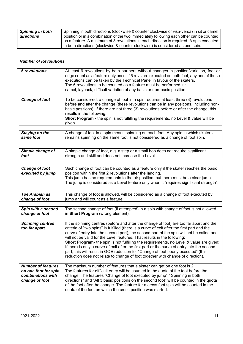| Spinning in both | Spinning in both directions (clockwise & counter clockwise or visa-versa) in sit or camel |
|------------------|-------------------------------------------------------------------------------------------|
| directions       | position or in a combination of the two immediately following each other can be counted   |
|                  | as a feature. A minimum of 3 revolutions in each direction is required. A spin executed   |
|                  | in both directions (clockwise & counter clockwise) is considered as one spin.             |

#### *Number of Revolutions*

| 6 revolutions         | At least 6 revolutions by both partners without changes in position/variation, foot or<br>edge count as a feature only once; if 6 revs are executed on both feet, any one of these<br>executions can be taken by the Technical Panel in favour of the skaters.<br>The 6 revolutions to be counted as a feature must be performed in:<br>camel, layback, difficult variation of any basic or non-basic position. |
|-----------------------|-----------------------------------------------------------------------------------------------------------------------------------------------------------------------------------------------------------------------------------------------------------------------------------------------------------------------------------------------------------------------------------------------------------------|
| <b>Change of foot</b> | To be considered, a change of foot in a spin requires at least three (3) revolutions<br>before and after the change (these revolutions can be in any positions, including non-<br>basic positions). If there are not three (3) revolutions before or after the change, this<br>results in the following:<br>Short Program - the spin is not fulfilling the requirements, no Level & value will be<br>given.     |

| Staying on the | A change of foot in a spin means spinning on each foot. Any spin in which skaters         |
|----------------|-------------------------------------------------------------------------------------------|
| l same foot    | $^{\prime}$ remains spinning on the same foot is not considered as a change of foot spin. |
|                |                                                                                           |

| Simple change of | A simple change of foot, e.g. a step or a small hop does not require significant |
|------------------|----------------------------------------------------------------------------------|
| foot             | strength and skill and does not increase the Level.                              |

| <b>Change of foot</b> | Such change of foot can be counted as a feature only if the skater reaches the basic    |
|-----------------------|-----------------------------------------------------------------------------------------|
| executed by jump      | position within the first 2 revolutions after the landing.                              |
|                       | This jump has no requirements to the air position, but there must be a clear jump.      |
|                       | The jump is considered as a Level feature only when it "requires significant strength". |

| Toe Arabian as | This change of foot is allowed, will be considered as a change of foot executed by |
|----------------|------------------------------------------------------------------------------------|
| change of foot | jump and will count as a feature.                                                  |
|                |                                                                                    |

| Spin with a second      | The second change of foot (if attempted) in a spin with change of foot is not allowed          |
|-------------------------|------------------------------------------------------------------------------------------------|
| change of foot          | in Short Program (wrong element).                                                              |
|                         |                                                                                                |
| <b>Spinning centres</b> | If the spinning centres (before and after the change of foot) are too far apart and the        |
| too far apart           | criteria of "two spins" is fulfilled (there is a curve of exit after the first part and the    |
|                         | curve of entry into the second part), the second part of the spin will not be called and       |
|                         | will not be valid for the Level features. That results in the following:                       |
|                         | <b>Short Program-</b> the spin is not fulfilling the requirements, no Level & value are given; |
|                         | If there is only a curve of exit after the first part or the curve of entry into the second    |
|                         | part, this will result in GOE reduction for "Change of foot poorly executed" (this             |
|                         | reduction does not relate to change of foot together with change of direction).                |

| <b>Number of features</b> | The maximum number of features that a skater can get on one foot is 2.                  |
|---------------------------|-----------------------------------------------------------------------------------------|
| on one foot for spin      | The features for difficult entry will be counted in the quota of the foot before the    |
| combinations with         | change. The features "Change of foot executed by jump"," Spinning in both               |
| change of foot            | directions" and "All 3 basic positions on the second foot" will be counted in the quota |
|                           | of the foot after the change. The feature for a cross foot spin will be counted in the  |
|                           | quota of the foot on which the cross position was started.                              |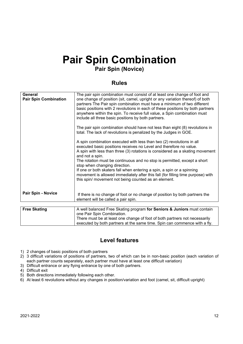## **Pair Spin Combination**

## **Pair Spin (Novice)**

#### **Rules**

| General<br><b>Pair Spin Combination</b> | The pair spin combination must consist of at least one change of foot and<br>one change of position (sit, camel, upright or any variation thereof) of both<br>partners The Pair spin combination must have a minimum of two different<br>basic positions with 2 revolutions in each of these positions by both partners<br>anywhere within the spin. To receive full value, a Spin combination must<br>include all three basic positions by both partners.<br>The pair spin combination should have not less than eight (8) revolutions in<br>total. The lack of revolutions is penalized by the Judges in GOE.<br>A spin combination executed with less than two (2) revolutions in all<br>executed basic positions receives no Level and therefore no value.<br>A spin with less than three (3) rotations is considered as a skating movement<br>and not a spin.<br>The rotation must be continuous and no stop is permitted, except a short<br>stop when changing direction.<br>If one or both skaters fall when entering a spin, a spin or a spinning |
|-----------------------------------------|-----------------------------------------------------------------------------------------------------------------------------------------------------------------------------------------------------------------------------------------------------------------------------------------------------------------------------------------------------------------------------------------------------------------------------------------------------------------------------------------------------------------------------------------------------------------------------------------------------------------------------------------------------------------------------------------------------------------------------------------------------------------------------------------------------------------------------------------------------------------------------------------------------------------------------------------------------------------------------------------------------------------------------------------------------------|
|                                         | movement is allowed immediately after this fall (for filling time purpose) with<br>this spin/ movement not being counted as an element.                                                                                                                                                                                                                                                                                                                                                                                                                                                                                                                                                                                                                                                                                                                                                                                                                                                                                                                   |
| <b>Pair Spin - Novice</b>               | If there is no change of foot or no change of position by both partners the<br>element will be called a pair spin.                                                                                                                                                                                                                                                                                                                                                                                                                                                                                                                                                                                                                                                                                                                                                                                                                                                                                                                                        |
|                                         |                                                                                                                                                                                                                                                                                                                                                                                                                                                                                                                                                                                                                                                                                                                                                                                                                                                                                                                                                                                                                                                           |
| <b>Free Skating</b>                     | A well balanced Free Skating program for Seniors & Juniors must contain<br>one Pair Spin Combination.                                                                                                                                                                                                                                                                                                                                                                                                                                                                                                                                                                                                                                                                                                                                                                                                                                                                                                                                                     |

| There must be at least one change of foot of both partners not necessarily |
|----------------------------------------------------------------------------|
| executed by both partners at the same time. Spin can commence with a fly.  |
|                                                                            |

### **Level features**

- 1) 2 changes of basic positions of both partners
- 2) 3 difficult variations of positions of partners, two of which can be in non-basic position (each variation of each partner counts separately, each partner must have at least one difficult variation)
- 3) Difficult entrance or any flying entrance by one of both partners.
- 4) Difficult exit
- 5) Both directions immediately following each other.
- 6) At least 6 revolutions without any changes in position/variation and foot (camel, sit, difficult upright)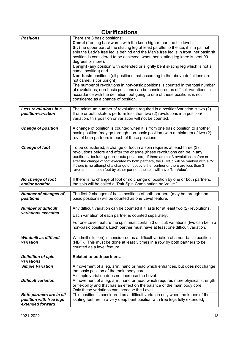| <b>Clarifications</b>                       |                                                                                                                                                                                                                                                                                                                                                                                                                                                                                                                                                                                                                                                                                                                                                                                                                                                                                                                                      |
|---------------------------------------------|--------------------------------------------------------------------------------------------------------------------------------------------------------------------------------------------------------------------------------------------------------------------------------------------------------------------------------------------------------------------------------------------------------------------------------------------------------------------------------------------------------------------------------------------------------------------------------------------------------------------------------------------------------------------------------------------------------------------------------------------------------------------------------------------------------------------------------------------------------------------------------------------------------------------------------------|
| <b>Positions</b>                            | There are 3 basic positions:<br><b>Camel</b> (free leg backwards with the knee higher than the hip level);<br>Sit (the upper part of the skating leg at least parallel to the ice; if in a pair sit<br>spin the Lady's free leg is behind and the Man's free leg is in front, her basic sit<br>position is considered to be achieved, when her skating leg knee is bent 90<br>degrees or more);<br><b>Upright</b> (any position with extended or slightly bent skating leg which is not a<br>camel position) and<br><b>Non-basic</b> positions (all positions that according to the above definitions are<br>not camel, sit or upright).<br>The number of revolutions in non-basic positions is counted in the total number<br>of revolutions; non-basic positions can be considered as difficult variations in<br>accordance with the definition, but going to one of these positions is not<br>considered as a change of position. |
|                                             |                                                                                                                                                                                                                                                                                                                                                                                                                                                                                                                                                                                                                                                                                                                                                                                                                                                                                                                                      |
| Less revolutions in a<br>position/variation | The minimum number of revolutions required in a position/variation is two (2).<br>If one or both skaters perform less than two (2) revolutions in a position/<br>variation, this position or variation will not be counted.                                                                                                                                                                                                                                                                                                                                                                                                                                                                                                                                                                                                                                                                                                          |
|                                             |                                                                                                                                                                                                                                                                                                                                                                                                                                                                                                                                                                                                                                                                                                                                                                                                                                                                                                                                      |

| <b>Change of position</b> | A change of position is counted when it is from one basic position to another        |
|---------------------------|--------------------------------------------------------------------------------------|
|                           | $\vert$ basic position (may go through non-basic position) with a minimum of two (2) |
|                           | rev. of both partners in each of these positions.                                    |
|                           |                                                                                      |

| To be considered, a change of foot in a spin requires at least three (3)<br>revolutions before and after the change (these revolutions can be in any<br>positions, including non-basic positions). If there are not 3 revolutions before or<br>after the change of foot executed by both partners, the PCoSp will be marked with a "V".<br>If there is no attempt of a change of foot by either partner or there are less than 3<br>revolutions on both feet by either partner, the spin will have "No Value". |
|----------------------------------------------------------------------------------------------------------------------------------------------------------------------------------------------------------------------------------------------------------------------------------------------------------------------------------------------------------------------------------------------------------------------------------------------------------------------------------------------------------------|
|                                                                                                                                                                                                                                                                                                                                                                                                                                                                                                                |
|                                                                                                                                                                                                                                                                                                                                                                                                                                                                                                                |

*No change of foot and/or position*  If there is no change of foot or no change of position by one or both partners, the spin will be called a "Pair Spin Combination no Value."

| Number of changes of | The first 2 changes of basic positions of both partners (may be through non- |
|----------------------|------------------------------------------------------------------------------|
| positions            | basic positions) will be counted as one Level feature.                       |
|                      |                                                                              |

| <b>Number of difficult</b>                  | Any difficult variation can be counted if it lasts for at least two (2) revolutions.                                                                                                                         |
|---------------------------------------------|--------------------------------------------------------------------------------------------------------------------------------------------------------------------------------------------------------------|
| variations executed                         | Each variation of each partner is counted separately.                                                                                                                                                        |
|                                             | For one Level feature the spin must contain 3 difficult variations (two can be in a<br>non-basic position). Each partner must have at least one difficult variation.                                         |
| Windmill as difficult<br>variation          | Windmill (illusion) is considered as a difficult variation of a non-basic position<br>(NBP). This must be done at least 3 times in a row by both partners to be<br>counted as a level feature.               |
|                                             |                                                                                                                                                                                                              |
| <b>Definition of spin</b><br>variations     | Related to both partners.                                                                                                                                                                                    |
| <b>Simple Variation</b>                     | A movement of a leg, arm, hand or head which enhances, but does not change<br>the basic position of the main body core.<br>A simple variation does not increase the Level.                                   |
| <b>Difficult variation</b>                  | A movement of a leg, arm, hand or head which requires more physical strength<br>or flexibility and that has an effect on the balance of the main body core.<br>Only these variations can increase the Level. |
| <b>Both partners are in sit</b>             | This position is considered as a difficult variation only when the knees of the                                                                                                                              |
| position with free legs<br>extended forward | skating feet are in a very deep bent position with free legs fully extended.                                                                                                                                 |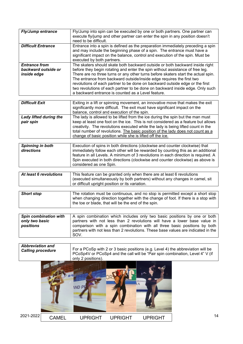| <b>Fly/Jump entrance</b>                                   | Fly/Jump into spin can be executed by one or both partners. One partner can<br>execute fly/jump and other partner can enter the spin in any position doesn't<br>need to be difficult.                                                                                                                                                                                                                                                                                                                                                              |
|------------------------------------------------------------|----------------------------------------------------------------------------------------------------------------------------------------------------------------------------------------------------------------------------------------------------------------------------------------------------------------------------------------------------------------------------------------------------------------------------------------------------------------------------------------------------------------------------------------------------|
| <b>Difficult Entrance</b>                                  | Entrance into a spin is defined as the preparation immediately preceding a spin<br>and may include the beginning phase of a spin. The entrance must have a<br>significant impact on the balance, control and execution of the spin. Must be<br>executed by both partners.                                                                                                                                                                                                                                                                          |
| <b>Entrance from</b><br>backward outside or<br>inside edge | The skaters should skate both backward outside or both backward inside right<br>before they begin rotating and enter the spin without assistance of free leg.<br>There are no three turns or any other turns before skaters start the actual spin.<br>The entrance from backward outside/inside edge requires the first two<br>revolutions of each partner to be done on backward outside edge or the first<br>two revolutions of each partner to be done on backward inside edge. Only such<br>a backward entrance is counted as a Level feature. |

| <b>Difficult Exit</b>               | Exiting in a lift or spinning movement, an innovative move that makes the exit<br>significantly more difficult. The exit must have significant impact on the<br>balance, control and execution of the spin.                                                                                                                                                                                             |
|-------------------------------------|---------------------------------------------------------------------------------------------------------------------------------------------------------------------------------------------------------------------------------------------------------------------------------------------------------------------------------------------------------------------------------------------------------|
| Lady lifted during the<br>pair spin | The lady is allowed to be lifted from the ice during the spin but the man must<br>keep at least one foot on the ice. This is not considered as a feature but allows<br>creativity. The revolutions executed while the lady is being lifted count in the<br>total number of revolutions. The basic position of the lady does not count as a<br>change of basic position while she is lifted off the ice. |

| <b>Spinning in both</b><br>directions | Execution of spins in both directions (clockwise and counter clockwise) that<br>immediately follow each other will be rewarded by counting this as an additional<br>feature in all Levels. A minimum of 3 revolutions in each direction is required. A<br>Spin executed in both directions (clockwise and counter clockwise) as above is |
|---------------------------------------|------------------------------------------------------------------------------------------------------------------------------------------------------------------------------------------------------------------------------------------------------------------------------------------------------------------------------------------|
|                                       | considered as one Spin.                                                                                                                                                                                                                                                                                                                  |

| At least 6 revolutions | This feature can be granted only when there are at least 6 revolutions       |
|------------------------|------------------------------------------------------------------------------|
|                        | (executed simultaneously by both partners) without any changes in camel, sit |
|                        | or difficult upright position or its variation.                              |
|                        |                                                                              |

| <b>Short stop</b> | The rotation must be continuous, and no stop is permitted except a short stop                                                            |
|-------------------|------------------------------------------------------------------------------------------------------------------------------------------|
|                   | when changing direction together with the change of foot. If there is a stop with<br>the toe or blade, that will be the end of the spin. |
|                   |                                                                                                                                          |

| <b>Spin combination with</b> | A spin combination which includes only two basic positions by one or both                 |
|------------------------------|-------------------------------------------------------------------------------------------|
| only two basic               | partners with not less than 2 revolutions will have a lower base value in                 |
| positions                    | comparison with a spin combination with all three basic positions by both                 |
|                              | partners with not less than 2 revolutions. These base values are indicated in the<br>SOV. |

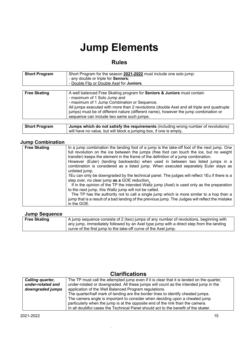## **Jump Elements**

### **Rules**

| <b>Short Program</b> | Short Program for the season 2021-2022 must include one solo jump:<br>- any double or triple for Seniors;<br>- Double Flip or Double Axel for Juniors.                                                                                                                                                                                                                                               |
|----------------------|------------------------------------------------------------------------------------------------------------------------------------------------------------------------------------------------------------------------------------------------------------------------------------------------------------------------------------------------------------------------------------------------------|
| <b>Free Skating</b>  | A well balanced Free Skating program for <b>Seniors &amp; Juniors</b> must contain<br>- maximum of 1 Solo Jump and<br>- maximum of 1 Jump Combination or Sequence.<br>All jumps executed with more than 2 revolutions (double Axel and all triple and quadruple<br>jumps) must be of different nature (different name), however the jump combination or<br>sequence can include two same such jumps. |
| <b>Short Program</b> | Jumps which do not satisfy the requirements (including wrong number of revolutions)                                                                                                                                                                                                                                                                                                                  |

will have no value, but will block a jumping box, if one is empty**.**

#### **Jump Combination**

| <b>Free Skating</b> | In a jump combination the landing foot of a jump is the take-off foot of the next jump. One<br>full revolution on the ice between the jumps (free foot can touch the ice, but no weight<br>transfer) keeps the element in the frame of the definition of a jump combination. |
|---------------------|------------------------------------------------------------------------------------------------------------------------------------------------------------------------------------------------------------------------------------------------------------------------------|
|                     | However (Euler) (landing backwards) when used in between two listed jumps in a<br>combination is considered as a listed jump. When executed separately Euler stays as<br>unlisted jump.                                                                                      |
|                     | 1Eu can only be downgraded by the technical panel. The judges will reflect 1Eu if there is a<br>step over, no clear jump as a GOE reduction.                                                                                                                                 |
|                     | If in the opinion of the TP the intended Waltz jump (Axel) is used only as the preparation<br>to the next jump, this Waltz jump will not be called.                                                                                                                          |
|                     | The TP has the authority not to call a single jump which is more similar to a hop than a<br>jump that is a result of a bad landing of the previous jump. The Judges will reflect the mistake<br>in the GOE.                                                                  |

#### **Jump Sequence**

| <b>AND AND AND AND A</b> |                                                                                         |
|--------------------------|-----------------------------------------------------------------------------------------|
| <b>Free Skating</b>      | A jump sequence consists of 2 (two) jumps of any number of revolutions, beginning with  |
|                          | any jump, immediately followed by an Axel type jump with a direct step from the landing |
|                          | curve of the first jump to the take-off curve of the Axel jump.                         |
|                          |                                                                                         |

| Calling quarter,  | The TP must call the attempted jump even if it is clear that it is landed on the quarter, |
|-------------------|-------------------------------------------------------------------------------------------|
| under-rotated and | under-rotated or downgraded. All these jumps will count as the intended jump in the       |
| downgraded jumps  | application of the Well Balanced Program regulations.                                     |
|                   | The quarter/half mark of landing are the border lines to identify cheated jumps.          |
|                   | The camera angle is important to consider when deciding upon a cheated jump               |
|                   | particularly when the jump is at the opposite end of the rink than the camera.            |
|                   | In all doubtful cases the Technical Panel should act to the benefit of the skater.        |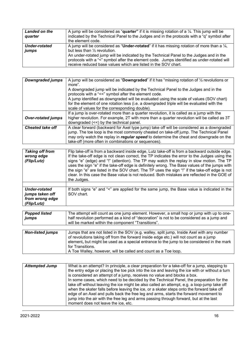| Landed on the | A jump will be considered as "quarter" if it is missing rotation of a $\frac{1}{4}$ . This jump will be |
|---------------|---------------------------------------------------------------------------------------------------------|
| quarter       | indicated by the Technical Panel to the Judges and in the protocols with a "q" symbol after             |
|               | the element code.                                                                                       |
| Under-rotated | A jump will be considered as "Under-rotated" if it has missing rotation of more than a $\frac{1}{4}$ ,  |
| jumps         | but less than $\frac{1}{2}$ revolution.                                                                 |
|               | An under-rotated jump will be indicated by the Technical Panel to the Judges and in the                 |
|               | protocols with a "<" symbol after the element code. Jumps identified as under-rotated will              |
|               | receive reduced base values which are listed in the SOV chart.                                          |

| <b>Downgraded jumps</b>   | A jump will be considered as "Downgraded" if it has "missing rotation of $\frac{1}{2}$ revolutions or<br>more".<br>A downgraded jump will be indicated by the Technical Panel to the Judges and in the                                                                                                                              |
|---------------------------|-------------------------------------------------------------------------------------------------------------------------------------------------------------------------------------------------------------------------------------------------------------------------------------------------------------------------------------|
|                           | protocols with a "<<" symbol after the element code.<br>A jump identified as downgraded will be evaluated using the scale of values (SOV chart)<br>for the element of one rotation less (i.e. a downgraded triple will be evaluated with the<br>scale of values for the corresponding double).                                      |
| <b>Over-rotated jumps</b> | If a jump is over-rotated more than a quarter revolution, it is called as a jump with the<br>higher revolution. For example, 2T with more than a quarter revolution will be called as 3T<br>downgraded (<<) by the technical panel.                                                                                                 |
| <b>Cheated take off</b>   | A clear forward (backward for Axel type jump) take off will be considered as a downgraded<br>jump. The toe loop is the most commonly cheated on take-off jump. The Technical Panel<br>may only watch the replay in regular speed to determine the cheat and downgrade on the<br>take-off (more often in combinations or sequences). |

| <b>Taking off from</b><br>wrong edge<br>(Flip/Lutz)                       | Flip take-off is from a backward inside edge, Lutz take-off is from a backward outside edge.<br>If the take-off edge is not clean correct, the TP indicates the error to the Judges using the<br>signs "e" (edge) and "!" (attention). The TP may watch the replay in slow motion. The TP<br>uses the sign "e" if the take-off edge is definitely wrong. The Base values of the jumps with<br>the sign "e" are listed in the SOV chart. The TP uses the sign "!" if the take-off edge is not<br>clear. In this case the Base value is not reduced. Both mistakes are reflected in the GOE of<br>the Judges. |
|---------------------------------------------------------------------------|-------------------------------------------------------------------------------------------------------------------------------------------------------------------------------------------------------------------------------------------------------------------------------------------------------------------------------------------------------------------------------------------------------------------------------------------------------------------------------------------------------------------------------------------------------------------------------------------------------------|
| <b>Under-rotated</b><br>jumps taken off<br>from wrong edge<br>(Flip/Lutz) | If both signs "e" and "<" are applied for the same jump, the Base value is indicated in the<br>SOV chart.                                                                                                                                                                                                                                                                                                                                                                                                                                                                                                   |
| <b>Donnad listed</b>                                                      | The attempt will count as one jump element. However, a small hop or jump with up to one.                                                                                                                                                                                                                                                                                                                                                                                                                                                                                                                    |

| <b>Popped listed</b><br>jumps | The attempt will count as one jump element. However, a small hop or jump with up to one-<br>half revolution performed as a kind of "decoration" is not to be considered as a jump and<br>will be marked within the component "Transitions".                                                          |
|-------------------------------|------------------------------------------------------------------------------------------------------------------------------------------------------------------------------------------------------------------------------------------------------------------------------------------------------|
|                               |                                                                                                                                                                                                                                                                                                      |
| <b>Non-listed jumps</b>       | Jumps that are not listed in the SOV (e.g. walley, split jump, Inside Axel with any number<br>of revolutions taking off from the forward inside edge etc.) will not count as a jump<br>element, but might be used as a special entrance to the jump to be considered in the mark<br>for Transitions. |

| .                                                              |
|----------------------------------------------------------------|
| A Toe Walley, however, will be called and count as a Toe loop. |

| <b>Attempted Jump</b> | What is an attempt? In principle, a clear preparation for a take-off for a jump, stepping to<br>the entry edge or placing the toe pick into the ice and leaving the ice with or without a turn<br>is considered an attempt of a jump, receives no value and blocks a box.<br>In some cases, which need to be decided by the Technical Panel, the preparation for the<br>take off without leaving the ice might be also called an attempt, e.g. a loop-jump take off<br>when the skater falls before leaving the ice, or a skater steps onto the forward take off<br>edge of an Axel and pulls back the free leg and arms, starts the forward movement to<br>jump into the air with the free leg and arms passing through forward, but at the last |
|-----------------------|---------------------------------------------------------------------------------------------------------------------------------------------------------------------------------------------------------------------------------------------------------------------------------------------------------------------------------------------------------------------------------------------------------------------------------------------------------------------------------------------------------------------------------------------------------------------------------------------------------------------------------------------------------------------------------------------------------------------------------------------------|
|                       | moment does not leave the ice, etc.                                                                                                                                                                                                                                                                                                                                                                                                                                                                                                                                                                                                                                                                                                               |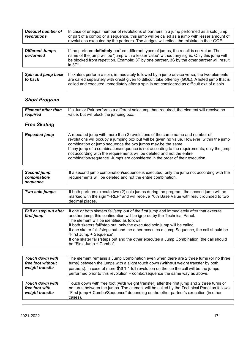| <b>Unequal number of</b><br>revolutions | In case of unequal number of revolutions of partners in a jump performed as a solo jump<br>or part of a combo or a sequence, this jump will be called as a jump with lesser amount of<br>revolutions executed by the partners. The Judges will reflect the mistake in their GOE.                            |
|-----------------------------------------|-------------------------------------------------------------------------------------------------------------------------------------------------------------------------------------------------------------------------------------------------------------------------------------------------------------|
| <b>Different Jumps</b><br>performed     | If the partners <b>definitely</b> perform different types of jumps, the result is no Value. The<br>name of the jump will be "jump with a lesser value" without any signs. Only this jump will<br>be blocked from repetition. Example: 3T by one partner, 3S by the other partner will result<br>in $3T^*$ . |
|                                         |                                                                                                                                                                                                                                                                                                             |
| Spin and jump back<br>to back           | If skaters perform a spin, immediately followed by a jump or vice versa, the two elements<br>are called separately with credit given to difficult take off/entry (GOE). A listed jump that is<br>called and executed immediately after a spin is not considered as difficult exit of a spin.                |

### *Short Program*

|          | <b>Element other than</b>   If a Junior Pair performs a different solo jump than required, the element will receive no |
|----------|------------------------------------------------------------------------------------------------------------------------|
| required | value, but will block the jumping box.                                                                                 |

## *Free Skating*

| <b>Repeated jump</b>                           | A repeated jump with more than 2 revolutions of the same name and number of<br>revolutions will occupy a jumping box but will be given no value. However, within the jump<br>combination or jump sequence the two jumps may be the same.<br>If any jump of a combination/sequence is not according to the requirements, only the jump<br>not according with the requirements will be deleted and not the entire<br>combination/sequence. Jumps are considered in the order of their execution.                                                   |
|------------------------------------------------|--------------------------------------------------------------------------------------------------------------------------------------------------------------------------------------------------------------------------------------------------------------------------------------------------------------------------------------------------------------------------------------------------------------------------------------------------------------------------------------------------------------------------------------------------|
| <b>Second jump</b><br>combination/<br>sequence | If a second jump combination/sequence is executed, only the jump not according with the<br>requirements will be deleted and not the entire combination.                                                                                                                                                                                                                                                                                                                                                                                          |
|                                                |                                                                                                                                                                                                                                                                                                                                                                                                                                                                                                                                                  |
| Two solo jumps                                 | If both partners execute two (2) solo jumps during the program, the second jump will be<br>marked with the sign "+REP" and will receive 70% Base Value with result rounded to two<br>decimal places.                                                                                                                                                                                                                                                                                                                                             |
|                                                |                                                                                                                                                                                                                                                                                                                                                                                                                                                                                                                                                  |
| <b>Fall or step out after</b><br>first jump    | If one or both skaters fall/step out of the first jump and immediately after that execute<br>another jump, this continuation will be ignored by the Technical Panel.<br>The element will be identified as follows:<br>If both skaters fall/step out, only the executed solo jump will be called.<br>If one skater falls/steps out and the other executes a Jump Sequence, the call should be<br>"First Jump + Sequence".<br>If one skater falls/steps out and the other executes a Jump Combination, the call should<br>be "First Jump + Combo". |

| <b>Touch down with</b><br>free foot without<br>weight transfer | The element remains a Jump Combination even when there are 2 three turns (or no three<br>turns) between the jumps with a slight touch down (without weight transfer by both<br>partners). In case of more than 1 full revolution on the ice the call will be the jumps<br>performed prior to this revolution + combo/sequence the same way as above. |
|----------------------------------------------------------------|------------------------------------------------------------------------------------------------------------------------------------------------------------------------------------------------------------------------------------------------------------------------------------------------------------------------------------------------------|
| <b>Touch down with</b><br>free foot with<br>weight transfer    | Touch down with free foot (with weight transfer) after the first jump and 2 three turns or<br>no turns between the jumps. The element will be called by the Technical Panel as follows:<br>"First jump + Combo/Sequence" depending on the other partner's execution (in other<br>cases).                                                             |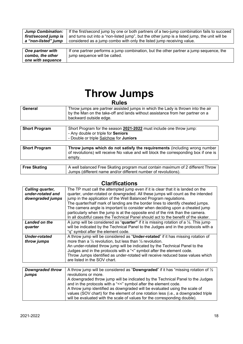| <b>Jump Combination:</b> | If the first/second jump by one or both partners of a two-jump combination fails to succeed   |
|--------------------------|-----------------------------------------------------------------------------------------------|
| first/second jump is     | and turns out into a "non-listed jump", but the other jump is a listed jump, the unit will be |
| a "non-listed" jump      | considered as a jump combo with only the listed jump receiving value.                         |
|                          |                                                                                               |
| One partner with         | If one partner performs a jump combination, but the other partner a jump sequence, the        |
| combo, the other         | jump sequence will be called.                                                                 |
| one with sequence        |                                                                                               |

## **Throw Jumps Rules**

| <b>RUIES</b>         |                                                                                                                                                                                            |
|----------------------|--------------------------------------------------------------------------------------------------------------------------------------------------------------------------------------------|
| General              | Throw jumps are partner assisted jumps in which the Lady is thrown into the air<br>by the Man on the take-off and lands without assistance from her partner on a<br>backward outside edge. |
|                      |                                                                                                                                                                                            |
| <b>Short Program</b> | Short Program for the season 2021-2022 must include one throw jump:                                                                                                                        |

|                      | - Any double or triple for <b>Seniors</b><br>- Double or triple Salchow for Juniors                                                                                         |
|----------------------|-----------------------------------------------------------------------------------------------------------------------------------------------------------------------------|
|                      |                                                                                                                                                                             |
| <b>Short Program</b> | Throw jumps which do not satisfy the requirements (including wrong number<br>of revolutions) will receive No value and will block the corresponding box if one is<br>empty. |
|                      |                                                                                                                                                                             |
| <b>Free Skating</b>  | A well balanced Free Skating program must contain maximum of 2 different Throw<br>Jumps (different name and/or different number of revolutions).                            |

| Calling quarter,     | The TP must call the attempted jump even if it is clear that it is landed on the                         |
|----------------------|----------------------------------------------------------------------------------------------------------|
| under-rotated and    | quarter, under-rotated or downgraded. All these jumps will count as the intended                         |
| downgraded jumps     | jump in the application of the Well Balanced Program regulations.                                        |
|                      | The quarter/half mark of landing are the border lines to identify cheated jumps.                         |
|                      | The camera angle is important to consider when deciding upon a cheated jump                              |
|                      | particularly when the jump is at the opposite end of the rink than the camera.                           |
|                      | In all doubtful cases the Technical Panel should act to the benefit of the skater.                       |
| Landed on the        | A jump will be considered as " <b>quarter</b> " if it is missing rotation of a $\frac{1}{4}$ . This jump |
| quarter              | will be indicated by the Technical Panel to the Judges and in the protocols with a                       |
|                      | "q" symbol after the element code.                                                                       |
| <b>Under-rotated</b> | A throw jump will be considered as "Under-rotated" if it has missing rotation of                         |
| throw jumps          | more than a $\frac{1}{4}$ revolution, but less than $\frac{1}{2}$ revolution.                            |
|                      | An under-rotated throw jump will be indicated by the Technical Panel to the                              |
|                      | Judges and in the protocols with a "<" symbol after the element code.                                    |
|                      | Throw Jumps identified as under-rotated will receive reduced base values which                           |
|                      | are listed in the SOV chart.                                                                             |
|                      |                                                                                                          |
| Downarodod throw     | A throw jump will be considered as "Downaraded" if it has "missing retation of 1/                        |

| <b>Downgraded throw</b> | A throw jump will be considered as "Downgraded" if it has "missing rotation of $\frac{1}{2}$ |
|-------------------------|----------------------------------------------------------------------------------------------|
| jumps                   | revolutions or more.                                                                         |
|                         | A downgraded throw jump will be indicated by the Technical Panel to the Judges               |
|                         | and in the protocols with a "<<" symbol after the element code.                              |
|                         | A throw jump identified as downgraded will be evaluated using the scale of                   |
|                         | values (SOV chart) for the element of one rotation less (i.e., a downgraded triple           |
|                         | will be evaluated with the scale of values for the corresponding double).                    |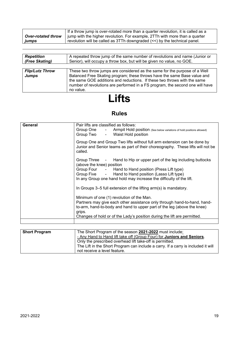|       | If a throw jump is over-rotated more than a quarter revolution, it is called as a                                                |
|-------|----------------------------------------------------------------------------------------------------------------------------------|
|       | <b>Over-rotated throw</b>   jump with the higher revolution. For example, 2TTh with more than a quarter                          |
| jumps | revolution will be called as $3TTh$ downgraded $\left\langle \langle \langle \rangle \rangle \right\rangle$ the technical panel. |

| <b>Repetition</b><br>(Free Skating)    | A repeated throw jump of the same number of revolutions and name (Junior or<br>Senior), will occupy a throw box, but will be given no value, no GOE.                                                                                                                                                                             |
|----------------------------------------|----------------------------------------------------------------------------------------------------------------------------------------------------------------------------------------------------------------------------------------------------------------------------------------------------------------------------------|
|                                        |                                                                                                                                                                                                                                                                                                                                  |
| <b>Flip/Lutz Throw</b><br><b>Jumps</b> | These two throw jumps are considered as the same for the purpose of a Well<br>Balanced Free Skating program; these throws have the same Base value and<br>the same GOE additions and reductions. If these two throws with the same<br>number of revolutions are performed in a FS program, the second one will have<br>no value. |

## **Lifts**

## **Rules**

| General | Pair lifts are classified as follows:<br>Group One - Armpit Hold position (See below variations of hold positions allowed)<br>Group Two - Waist Hold position                                                                                                                             |
|---------|-------------------------------------------------------------------------------------------------------------------------------------------------------------------------------------------------------------------------------------------------------------------------------------------|
|         | Group One and Group Two lifts without full arm extension can be done by<br>Junior and Senior teams as part of their choreography. These lifts will not be<br>called.                                                                                                                      |
|         | Group Three - Hand to Hip or upper part of the leg including buttocks<br>(above the knee) position<br>Group Four - Hand to Hand position (Press Lift type)<br>Group Five - Hand to Hand position (Lasso Lift type)<br>In any Group one hand hold may increase the difficulty of the lift. |
|         | In Groups 3–5 full extension of the lifting arm(s) is mandatory.                                                                                                                                                                                                                          |
|         | Minimum of one (1) revolution of the Man.<br>Partners may give each other assistance only through hand-to-hand, hand-<br>to-arm, hand-to-body and hand to upper part of the leg (above the knee)<br>grips.<br>Changes of hold or of the Lady's position during the lift are permitted.    |
|         |                                                                                                                                                                                                                                                                                           |

| <b>Short Program</b> | The Short Program of the season 2021-2022 must include:                           |
|----------------------|-----------------------------------------------------------------------------------|
|                      | - Any Hand to Hand lift take off (Group Four) for Juniors and Seniors.            |
|                      | Only the prescribed overhead lift take-off is permitted.                          |
|                      | The Lift in the Short Program can include a carry. If a carry is included it will |
|                      | not receive a level feature.                                                      |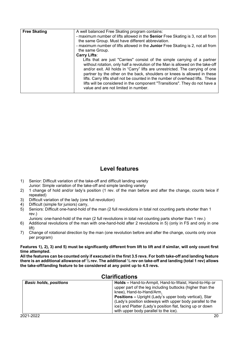| <b>Free Skating</b> | A well balanced Free Skating program contains:<br>- maximum number of lifts allowed in the <b>Senior</b> Free Skating is 3, not all from<br>the same Group. Must have different abbreviation.<br>- maximum number of lifts allowed in the Junior Free Skating is 2, not all from                                                                                                                                                                                                                                                  |
|---------------------|-----------------------------------------------------------------------------------------------------------------------------------------------------------------------------------------------------------------------------------------------------------------------------------------------------------------------------------------------------------------------------------------------------------------------------------------------------------------------------------------------------------------------------------|
|                     | the same Group.                                                                                                                                                                                                                                                                                                                                                                                                                                                                                                                   |
|                     | <b>Carry Lifts:</b>                                                                                                                                                                                                                                                                                                                                                                                                                                                                                                               |
|                     | Lifts that are just "Carries" consist of the simple carrying of a partner<br>without rotation, only half a revolution of the Man is allowed on the take-off<br>and/or exit. All holds in "Carry" lifts are unrestricted. The carrying of one<br>partner by the other on the back, shoulders or knees is allowed in these<br>lifts. Carry lifts shall not be counted in the number of overhead lifts. These<br>lifts will be considered in the component "Transitions". They do not have a<br>value and are not limited in number. |

### **Level features**

- 1) Senior: Difficult variation of the take-off and difficult landing variety Junior: Simple variation of the take-off and simple landing variety
- 2) 1 change of hold and/or lady's position (1 rev. of the man before and after the change, counts twice if repeated)
- 3) Difficult variation of the lady (one full revolution)
- 4) Difficult (simple for juniors) carry,<br>5) Seniors: Difficult one-hand-hold o
- 5) Seniors: Difficult one-hand-hold of the man (2 full revolutions in total not counting parts shorter than 1 rev.)

Juniors: one-hand-hold of the man (2 full revolutions in total not counting parts shorter than 1 rev.)

- 6) Additional revolutions of the man with one-hand-hold after 2 revolutions in 5) (only in FS and only in one lift)
- 7) Change of rotational direction by the man (one revolution before and after the change, counts only once per program)

**Features 1), 2), 3) and 5) must be significantly different from lift to lift and if similar, will only count first time attempted.**

**All the features can be counted only if executed in the first 3.5 revs. For both take-off and landing feature there is an additional allowance of ½ rev. The additional ½ rev on take-off and landing (total 1 rev) allows the take-off/landing feature to be considered at any point up to 4.5 revs.**

| Clarifications                |                                                                                                                                                                                                                                  |
|-------------------------------|----------------------------------------------------------------------------------------------------------------------------------------------------------------------------------------------------------------------------------|
| <b>Basic holds, positions</b> | <b>Holds – Hand-to-Armpit, Hand-to-Waist, Hand-to-Hip or</b><br>upper part of the leg including buttocks (higher than the<br>knee), Hand-to-Hand/Arm.                                                                            |
|                               | <b>Positions –</b> Upright (Lady's upper body vertical), Star<br>(Lady's position sideways with upper body parallel to the<br>ice) and Platter (Lady's position flat, facing up or down<br>with upper body parallel to the ice). |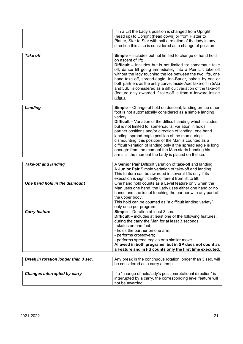|                                      | If in a Lift the Lady's position is changed from Upright<br>(head up) to Upright (head down) or from Platter to<br>Platter, Star to Star with half a rotation of the lady in any<br>direction this also is considered as a change of position. |
|--------------------------------------|------------------------------------------------------------------------------------------------------------------------------------------------------------------------------------------------------------------------------------------------|
|                                      |                                                                                                                                                                                                                                                |
| <b>Take off</b>                      | <b>Simple - Includes but not limited to change of hand hold</b>                                                                                                                                                                                |
|                                      | on ascent of lift;                                                                                                                                                                                                                             |
|                                      | <b>Difficult - Includes but is not limited to: somersault take</b>                                                                                                                                                                             |
|                                      | off, dance lift going immediately into a Pair Lift take off                                                                                                                                                                                    |
|                                      | without the lady touching the ice between the two lifts, one<br>hand take off, spread-eagle, Ina-Bauer, spirals by one or                                                                                                                      |
|                                      | both partners as the entry curve. Inside Axel take-off in 5ALi                                                                                                                                                                                 |
|                                      | and 5SLi is considered as a difficult variation of the take-off                                                                                                                                                                                |
|                                      | (feature only awarded if take-off is from a forward inside                                                                                                                                                                                     |
|                                      | edge).                                                                                                                                                                                                                                         |
|                                      |                                                                                                                                                                                                                                                |
| Landing                              | Simple - Change of hold on descent; landing on the other                                                                                                                                                                                       |
|                                      | foot is not automatically considered as a simple landing                                                                                                                                                                                       |
|                                      | variety.                                                                                                                                                                                                                                       |
|                                      | <b>Difficult - Variation of the difficult landing which includes,</b>                                                                                                                                                                          |
|                                      | but is not limited to: somersaults, variation in holds,<br>partner positions and/or direction of landing, one hand                                                                                                                             |
|                                      | landing, spread-eagle position of the man during                                                                                                                                                                                               |
|                                      | dismounting; this position of the Man is counted as a                                                                                                                                                                                          |
|                                      | difficult variation of landing only if the spread eagle is long                                                                                                                                                                                |
|                                      | enough: from the moment the Man starts bending his                                                                                                                                                                                             |
|                                      | arms till the moment the Lady is placed on the ice.                                                                                                                                                                                            |
|                                      |                                                                                                                                                                                                                                                |
| <b>Take-off and landing</b>          | A Senior Pair Difficult variation of take-off and landing                                                                                                                                                                                      |
|                                      | A Junior Pair Simple variation of take-off and landing<br>This feature can be awarded in several lifts only if its                                                                                                                             |
|                                      | execution is significantly different from lift to lift.                                                                                                                                                                                        |
| One hand hold in the dismount        | One hand hold counts as a Level feature only when the                                                                                                                                                                                          |
|                                      | Man uses one hand, the Lady uses either one hand or no                                                                                                                                                                                         |
|                                      | hands and she is not touching the partner with any part of                                                                                                                                                                                     |
|                                      | the upper body.                                                                                                                                                                                                                                |
|                                      | This hold can be counted as "a difficult landing variety"                                                                                                                                                                                      |
|                                      | only once per program.                                                                                                                                                                                                                         |
| <b>Carry feature</b>                 | Simple - Duration at least 3 sec.<br><b>Difficult – includes at least one of the following features:</b>                                                                                                                                       |
|                                      | during the carry the Man for at least 3 seconds                                                                                                                                                                                                |
|                                      | - skates on one foot;                                                                                                                                                                                                                          |
|                                      | - holds the partner on one arm;                                                                                                                                                                                                                |
|                                      | - performs crossovers;                                                                                                                                                                                                                         |
|                                      | - performs spread eagles or a similar move.                                                                                                                                                                                                    |
|                                      | Allowed in both programs, but in SP does not count as                                                                                                                                                                                          |
|                                      | a Feature and in FS counts only the first time executed.                                                                                                                                                                                       |
| Break in rotation longer than 3 sec. | Any break in the continuous rotation longer than 3 sec. will                                                                                                                                                                                   |
|                                      | be considered as a carry attempt.                                                                                                                                                                                                              |
|                                      |                                                                                                                                                                                                                                                |
| <b>Changes interrupted by carry</b>  | If a "change of hold/lady's position/rotational direction" is                                                                                                                                                                                  |
|                                      | interrupted by a carry, the corresponding level feature will                                                                                                                                                                                   |
|                                      | not be awarded.                                                                                                                                                                                                                                |
|                                      |                                                                                                                                                                                                                                                |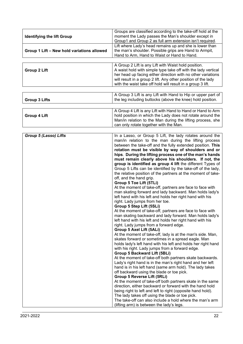| <b>Identifying the lift Group</b>          | Groups are classified according to the take-off hold at the<br>moment the Lady passes the Man's shoulder except in<br>Group1 and Group 2 as full arm extension isn't required.                                                                                                                                                                                                                                                                                                                                                                                                                                                                                                                                                                                                                                                                                                                                                                                                                                                                                                                   |
|--------------------------------------------|--------------------------------------------------------------------------------------------------------------------------------------------------------------------------------------------------------------------------------------------------------------------------------------------------------------------------------------------------------------------------------------------------------------------------------------------------------------------------------------------------------------------------------------------------------------------------------------------------------------------------------------------------------------------------------------------------------------------------------------------------------------------------------------------------------------------------------------------------------------------------------------------------------------------------------------------------------------------------------------------------------------------------------------------------------------------------------------------------|
| Group 1 Lift - New hold variations allowed | Lift where Lady's head remains up and she is lower than<br>the man's shoulder. Possible grips are Hand to Armpit,<br>Hand to Arm, Hand to Waist or Hand to Hand.                                                                                                                                                                                                                                                                                                                                                                                                                                                                                                                                                                                                                                                                                                                                                                                                                                                                                                                                 |
|                                            |                                                                                                                                                                                                                                                                                                                                                                                                                                                                                                                                                                                                                                                                                                                                                                                                                                                                                                                                                                                                                                                                                                  |
| <b>Group 2 Lift</b>                        | A Group 2 Lift is any Lift with Waist hold position.<br>A waist hold with simple type take off with the lady vertical<br>her head up facing either direction with no other variations<br>will result in a group 2 lift. Any other position of the lady<br>with the waist take off hold will result in a group 3 lift.                                                                                                                                                                                                                                                                                                                                                                                                                                                                                                                                                                                                                                                                                                                                                                            |
|                                            |                                                                                                                                                                                                                                                                                                                                                                                                                                                                                                                                                                                                                                                                                                                                                                                                                                                                                                                                                                                                                                                                                                  |
| <b>Group 3 Lifts</b>                       | A Group 3 Lift is any Lift with Hand to Hip or upper part of<br>the leg including buttocks (above the knee) hold position.                                                                                                                                                                                                                                                                                                                                                                                                                                                                                                                                                                                                                                                                                                                                                                                                                                                                                                                                                                       |
| <b>Group 4 Lift</b>                        | A Group 4 Lift is any Lift with Hand to Hand or Hand to Arm<br>hold position in which the Lady does not rotate around the<br>Man/in relation to the Man during the lifting process, she<br>can only rotate together with the Man.                                                                                                                                                                                                                                                                                                                                                                                                                                                                                                                                                                                                                                                                                                                                                                                                                                                                |
|                                            |                                                                                                                                                                                                                                                                                                                                                                                                                                                                                                                                                                                                                                                                                                                                                                                                                                                                                                                                                                                                                                                                                                  |
| Group 5 (Lasso) Lifts                      | In a Lasso, or Group 5 Lift, the lady rotates around the<br>man/in relation to the man during the lifting process<br>between the take-off and the fully extended position. This<br>rotation must be visible by way of shoulders and or<br>hips. During the lifting process one of the man's hands<br>must remain clearly above his shoulders. If not, the<br>group is identified as group 4 lift the different Types of<br>Group 5 Lifts can be identified by the take-off of the lady,<br>the relative position of the partners at the moment of take-<br>off, and the hand grip.<br>Group 5 Toe Lift (5TLi)<br>At the moment of take-off, partners are face to face with<br>man skating forward and lady backward. Man holds lady's<br>left hand with his left and holds her right hand with his<br>right. Lady jumps from her toe.<br>Group 5 Step Lift (5SLi)<br>At the moment of take-off, partners are face to face with<br>man skating backward and lady forward. Man holds lady's<br>left hand with his left and holds her right hand with his<br>right. Lady jumps from a forward edge. |
|                                            | Group 5 Axel Lift (5ALi)<br>At the moment of take-off, lady is at the man's side. Man,<br>skates forward or sometimes in a spread eagle. Man<br>holds lady's left hand with his left and holds her right hand<br>with his right. Lady jumps from a forward edge.<br><b>Group 5 Backward Lift (5BLi)</b><br>At the moment of take-off both partners skate backwards.<br>Lady's right hand is in the man's right hand and her left<br>hand is in his left hand (same arm hold). The lady takes<br>off backward using the blade or toe pick.<br><b>Group 5 Reverse Lift (5RLi)</b><br>At the moment of take-off both partners skate in the same<br>direction, either backward or forward with the hand hold<br>being right to left and left to right (opposite hand hold).<br>The lady takes off using the blade or toe pick.<br>The take-off can also include a hold where the man's arm<br>(lifting arm) is between the lady's legs.                                                                                                                                                              |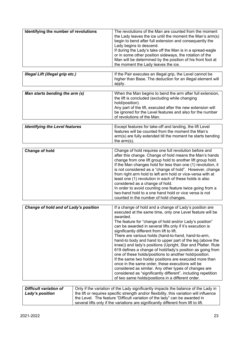| Identifying the number of revolutions   | The revolutions of the Man are counted from the moment<br>the Lady leaves the ice until the moment the Man's arm(s)<br>begin to bend after full extension and consequently the<br>Lady begins to descend.<br>If during the Lady's take off the Man is in a spread-eagle<br>or in some other position sideways, the rotation of the<br>Man will be determined by the position of his front foot at<br>the moment the Lady leaves the ice.                                                                                                                                                                                                                                                                                                                                                                                                                                                                         |
|-----------------------------------------|------------------------------------------------------------------------------------------------------------------------------------------------------------------------------------------------------------------------------------------------------------------------------------------------------------------------------------------------------------------------------------------------------------------------------------------------------------------------------------------------------------------------------------------------------------------------------------------------------------------------------------------------------------------------------------------------------------------------------------------------------------------------------------------------------------------------------------------------------------------------------------------------------------------|
|                                         |                                                                                                                                                                                                                                                                                                                                                                                                                                                                                                                                                                                                                                                                                                                                                                                                                                                                                                                  |
| <b>Illegal Lift (illegal grip etc.)</b> | If the Pair executes an illegal grip, the Level cannot be<br>higher than Base. The deduction for an illegal element will<br>apply.                                                                                                                                                                                                                                                                                                                                                                                                                                                                                                                                                                                                                                                                                                                                                                               |
|                                         |                                                                                                                                                                                                                                                                                                                                                                                                                                                                                                                                                                                                                                                                                                                                                                                                                                                                                                                  |
| Man starts bending the arm (s)          | When the Man begins to bend the arm after full extension,<br>the lift is concluded (excluding while changing<br>hold/position).<br>Any part of the lift, executed after the new extension will<br>be ignored for the Level features and also for the number<br>of revolutions of the Man.                                                                                                                                                                                                                                                                                                                                                                                                                                                                                                                                                                                                                        |
|                                         |                                                                                                                                                                                                                                                                                                                                                                                                                                                                                                                                                                                                                                                                                                                                                                                                                                                                                                                  |
| <b>Identifying the Level features</b>   | Except features for take-off and landing, the lift Level<br>features will be counted from the moment the Man's<br>arm(s) are fully extended till the moment he starts bending<br>the $arm(s)$ .                                                                                                                                                                                                                                                                                                                                                                                                                                                                                                                                                                                                                                                                                                                  |
|                                         |                                                                                                                                                                                                                                                                                                                                                                                                                                                                                                                                                                                                                                                                                                                                                                                                                                                                                                                  |
| <b>Change of hold</b>                   | Change of hold requires one full revolution before and<br>after this change. Change of hold means the Man's hands<br>change from one lift group hold to another lift group hold.<br>If the Man changes hold for less than one (1) revolution, it<br>is not considered as a "change of hold". However, change<br>from right arm hold to left arm hold or vice-versa with at<br>least one (1) revolution in each of these holds is also<br>considered as a change of hold.<br>In order to avoid counting one feature twice going from a<br>two-hand hold to a one hand hold or vice versa is not<br>counted in the number of hold changes.                                                                                                                                                                                                                                                                         |
|                                         |                                                                                                                                                                                                                                                                                                                                                                                                                                                                                                                                                                                                                                                                                                                                                                                                                                                                                                                  |
| Change of hold and of Lady's position   | If a change of hold and a change of Lady's position are<br>executed at the same time, only one Level feature will be<br>awarded.<br>The feature for "change of hold and/or Lady's position"<br>can be awarded in several lifts only if it's execution is<br>significantly different from lift to lift.<br>There are various holds (hand-to-hand, hand-to-arm,<br>hand-to body and hand to upper part of the leg (above the<br>knee)) and lady's positions (Upright, Star and Platter. Rule<br>619 defines a change of hold/lady's position as going from<br>one of these holds/positions to another hold/position.<br>If the same two holds/ positions are executed more than<br>once in the same order, these executions will be<br>considered as similar. Any other types of changes are<br>considered as "significantly different", including repetition<br>of two same holds/positions in a different order. |
| $\Box$ Difficult variation of           | Only if the variation of the Lady significantly impacts the balance of the Lady in                                                                                                                                                                                                                                                                                                                                                                                                                                                                                                                                                                                                                                                                                                                                                                                                                               |

| Difficult variation of | Only if the variation of the Lady significantly impacts the balance of the Lady in       |
|------------------------|------------------------------------------------------------------------------------------|
| Lady's position        | the lift or requires specific strength and/or flexibility, this variation will influence |
|                        | the Level. The feature "Difficult variation of the lady" can be awarded in               |
|                        | several lifts only if the variations are significantly different from lift to lift.      |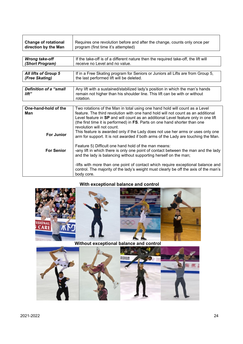| <b>Change of rotational</b><br>direction by the Man | Requires one revolution before and after the change, counts only once per<br>program (first time it's attempted)                                                                                                                                                                                                                                                                                                                                     |
|-----------------------------------------------------|------------------------------------------------------------------------------------------------------------------------------------------------------------------------------------------------------------------------------------------------------------------------------------------------------------------------------------------------------------------------------------------------------------------------------------------------------|
| <b>Wrong take-off</b><br>(Short Program)            | If the take-off is of a different nature then the required take-off, the lift will<br>receive no Level and no value.                                                                                                                                                                                                                                                                                                                                 |
| <b>All lifts of Group 5</b><br>(Free Skating)       | If in a Free Skating program for Seniors or Juniors all Lifts are from Group 5,<br>the last performed lift will be deleted.                                                                                                                                                                                                                                                                                                                          |
| <b>Definition of a "small</b><br>lift"              | Any lift with a sustained/stabilized lady's position in which the man's hands<br>remain not higher than his shoulder line. This lift can be with or without<br>rotation.                                                                                                                                                                                                                                                                             |
| One-hand-hold of the<br>Man                         | Two rotations of the Man in total using one hand hold will count as a Level<br>feature. The third revolution with one hand hold will not count as an additional<br>Level feature in SP and will count as an additional Level feature only in one lift<br>(the first time it is performed) in FS. Parts on one hand shorter than one<br>revolution will not count.<br>This feature is awarded only if the Lady does not use her arms or uses only one |
| <b>For Junior</b><br><b>For Senior</b>              | arm for support. It is not awarded if both arms of the Lady are touching the Man.<br>Feature 5) Difficult one hand hold of the man means:<br>-any lift in which there is only one point of contact between the man and the lady                                                                                                                                                                                                                      |
|                                                     | and the lady is balancing without supporting herself on the man;<br>-lifts with more than one point of contact which require exceptional balance and<br>control. The majority of the lady's weight must clearly be off the axis of the man's<br>body core.                                                                                                                                                                                           |

## **With exceptional balance and control**



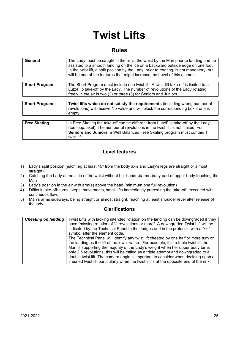## **Twist Lifts**

#### **Rules**

| General              | The Lady must be caught in the air at the waist by the Man prior to landing and be<br>assisted to a smooth landing on the ice on a backward outside edge on one foot.<br>In the twist lift, a split position by the Lady, prior to rotating, is not mandatory, but<br>will be one of the features that might increase the Level of this element. |
|----------------------|--------------------------------------------------------------------------------------------------------------------------------------------------------------------------------------------------------------------------------------------------------------------------------------------------------------------------------------------------|
|                      |                                                                                                                                                                                                                                                                                                                                                  |
| <b>Short Program</b> | The Short Program must include one twist lift. A twist lift take-off is limited to a<br>Lutz/Flip take-off by the Lady. The number of revolutions of the Lady rotating<br>freely in the air is two (2) or three (3) for Seniors and Juniors.                                                                                                     |
|                      |                                                                                                                                                                                                                                                                                                                                                  |
| <b>Short Program</b> | Twist lifts which do not satisfy the requirements (including wrong number of<br>revolutions) will receive No value and will block the corresponding box if one is<br>empty.                                                                                                                                                                      |
|                      |                                                                                                                                                                                                                                                                                                                                                  |
| <b>Free Skating</b>  | In Free Skating the take-off can be different from Lutz/Flip take-off by the Lady<br>(toe loop, axel). The number of revolutions in the twist lift is not limited. For<br>Seniors and Juniors, a Well Balanced Free Skating program must contain 1<br>twist lift.                                                                                |

#### **Level features**

- 1) Lady's split position (each leg at least 45° from the body axis and Lady's legs are straight or almost straight)
- 2) Catching the Lady at the side of the waist without her hand(s)/arm(s)/any part of upper body touching the Man
- 3) Lady's position in the air with arm(s) above the head (minimum one full revolution)
- 4) Difficult take-off: turns, steps, movements, small lifts immediately preceding the take-off, executed with continuous flow.
- 5) Man's arms sideways, being straight or almost straight, reaching at least shoulder level after release of the lady.

| <b>Cheating on landing</b> | Twist Lifts with lacking intended rotation on the landing can be downgraded if they     |
|----------------------------|-----------------------------------------------------------------------------------------|
|                            | have "missing rotation of 1/2 revolutions or more". A downgraded Twist Lift will be     |
|                            | indicated by the Technical Panel to the Judges and in the protocols with a "<<"         |
|                            | symbol after the element code.                                                          |
|                            | The Technical Panel will identify any twist lift cheated by one half or more turn on    |
|                            | the landing as the lift of the lower value. For example, if in a triple twist lift the  |
|                            | Man is supporting the majority of the Lady's weight when her upper body turns           |
|                            | only 2.5 revolutions, this will be called as a triple attempt and downgraded to a       |
|                            | double twist lift. The camera angle is important to consider when deciding upon a       |
|                            | cheated twist lift particularly when the twist lift is at the opposite end of the rink. |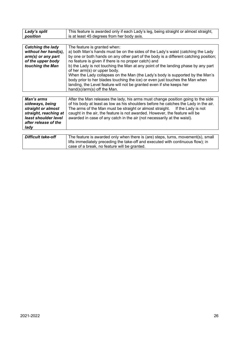| Lady's split              | This feature is awarded only if each Lady's leg, being straight or almost straight,                               |  |  |  |  |
|---------------------------|-------------------------------------------------------------------------------------------------------------------|--|--|--|--|
| position                  | is at least 45 degrees from her body axis.                                                                        |  |  |  |  |
|                           |                                                                                                                   |  |  |  |  |
| <b>Catching the lady</b>  | The feature is granted when:                                                                                      |  |  |  |  |
| without her hand(s),      | a) both Man's hands must be on the sides of the Lady's waist (catching the Lady                                   |  |  |  |  |
| $arm(s)$ or any part      | by one or both hands on any other part of the body is a different catching position;                              |  |  |  |  |
| of the upper body         | no feature is given if there is no proper catch) and                                                              |  |  |  |  |
| touching the Man          | b) the Lady is not touching the Man at any point of the landing phase by any part<br>of her arm(s) or upper body. |  |  |  |  |
|                           | When the Lady collapses on the Man (the Lady's body is supported by the Man's                                     |  |  |  |  |
|                           | body prior to her blades touching the ice) or even just touches the Man when                                      |  |  |  |  |
|                           | landing, the Level feature will not be granted even if she keeps her                                              |  |  |  |  |
|                           | hand(s)/arm(s) off the Man.                                                                                       |  |  |  |  |
|                           |                                                                                                                   |  |  |  |  |
| Man's arms                | After the Man releases the lady, his arms must change position going to the side                                  |  |  |  |  |
| sideways, being           | of his body at least as low as his shoulders before he catches the Lady in the air.                               |  |  |  |  |
| straight or almost        | The arms of the Man must be straight or almost straight.<br>If the Lady is not                                    |  |  |  |  |
| straight, reaching at     | caught in the air, the feature is not awarded. However, the feature will be                                       |  |  |  |  |
| least shoulder level      | awarded in case of any catch in the air (not necessarily at the waist).                                           |  |  |  |  |
| after release of the      |                                                                                                                   |  |  |  |  |
| lady                      |                                                                                                                   |  |  |  |  |
|                           |                                                                                                                   |  |  |  |  |
| <b>Difficult take-off</b> | The feature is awarded only when there is (are) steps, turns, movement(s), small                                  |  |  |  |  |
|                           | lifts immediately preceding the take-off and executed with continuous flow); in                                   |  |  |  |  |
|                           | case of a break, no feature will be granted.                                                                      |  |  |  |  |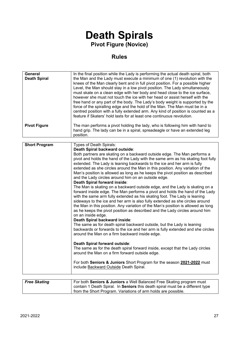## **Death Spirals Pivot Figure (Novice)**

## **Rules**

| <b>General</b><br><b>Death Spiral</b> | In the final position while the Lady is performing the actual death spiral, both<br>the Man and the Lady must execute a minimum of one (1) revolution with the<br>knees of the Man clearly bent and in full pivot position. For a possible higher<br>Level, the Man should stay in a low pivot position. The Lady simultaneously<br>must skate on a clean edge with her body and head close to the ice surface,<br>however she must not touch the ice with her head or assist herself with the<br>free hand or any part of the body. The Lady's body weight is supported by the<br>force of the spiralling edge and the hold of the Man. The Man must be in a<br>centred position with a fully extended arm. Any kind of position is counted as a<br>feature if Skaters' hold lasts for at least one continuous revolution.                                                                                                                                                                                                                                                                                                                                                                                                                                                                                                                                                                                                                                                                                                                                                                    |
|---------------------------------------|------------------------------------------------------------------------------------------------------------------------------------------------------------------------------------------------------------------------------------------------------------------------------------------------------------------------------------------------------------------------------------------------------------------------------------------------------------------------------------------------------------------------------------------------------------------------------------------------------------------------------------------------------------------------------------------------------------------------------------------------------------------------------------------------------------------------------------------------------------------------------------------------------------------------------------------------------------------------------------------------------------------------------------------------------------------------------------------------------------------------------------------------------------------------------------------------------------------------------------------------------------------------------------------------------------------------------------------------------------------------------------------------------------------------------------------------------------------------------------------------------------------------------------------------------------------------------------------------|
| <b>Pivot Figure</b>                   | The man performs a pivot holding the lady, who is following him with hand to<br>hand grip. The lady can be in a spiral, spreadeagle or have an extended leg<br>position.                                                                                                                                                                                                                                                                                                                                                                                                                                                                                                                                                                                                                                                                                                                                                                                                                                                                                                                                                                                                                                                                                                                                                                                                                                                                                                                                                                                                                       |
| <b>Short Program</b>                  | Types of Death Spirals:                                                                                                                                                                                                                                                                                                                                                                                                                                                                                                                                                                                                                                                                                                                                                                                                                                                                                                                                                                                                                                                                                                                                                                                                                                                                                                                                                                                                                                                                                                                                                                        |
|                                       | Death Spiral backward outside:<br>Both partners are skating on a backward outside edge. The Man performs a<br>pivot and holds the hand of the Lady with the same arm as his skating foot fully<br>extended. The Lady is leaning backwards to the ice and her arm is fully<br>extended as she circles around the Man in this position. Any variation of the<br>Man's position is allowed as long as he keeps the pivot position as described<br>and the Lady circles around him on an outside edge.<br>Death Spiral forward inside:<br>The Man is skating on a backward outside edge, and the Lady is skating on a<br>forward inside edge. The Man performs a pivot and holds the hand of the Lady<br>with the same arm fully extended as his skating foot. The Lady is leaning<br>sideways to the ice and her arm is also fully extended as she circles around<br>the Man in this position. Any variation of the Man's position is allowed as long<br>as he keeps the pivot position as described and the Lady circles around him<br>on an inside edge.<br>Death Spiral backward inside:<br>The same as for death spiral backward outside, but the Lady is leaning<br>backwards or forwards to the ice and her arm is fully extended and she circles<br>around the Man on a firm backward inside edge.<br>Death Spiral forward outside:<br>The same as for the death spiral forward inside, except that the Lady circles<br>around the Man on a firm forward outside edge.<br>For both Seniors & Juniors Short Program for the season 2021-2022 must<br>include Backward Outside Death Spiral. |

| <b>Free Skating</b> | For both <b>Seniors &amp; Juniors</b> a Well Balanced Free Skating program must |  |  |
|---------------------|---------------------------------------------------------------------------------|--|--|
|                     | contain 1 Death Spiral. In Seniors this death spiral must be a different type   |  |  |
|                     | from the Short Program. Variations of arm holds are possible.                   |  |  |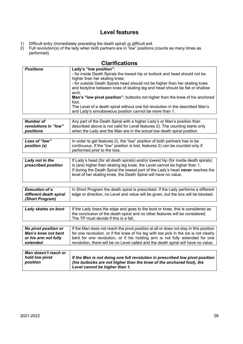## **Level features**

- 1) Difficult entry (immediately preceding the death spiral) or difficult exit
- 2) Full revolution(s) of the lady when both partners are in "low" positions (counts as many times as performed)

| <b>Positions</b>                                      | Lady's "low position":<br>- for inside Death Spirals the lowest hip or buttock and head should not be<br>higher than her skating knee;<br>- for outside Death Spirals head should not be higher than her skating knee<br>and bodyline between knee of skating leg and head should be flat or shallow<br>arch.<br>Man's "low pivot position": buttocks not higher than the knee of his anchored<br>foot.<br>The Level of a death spiral without one full revolution in the described Man's<br>and Lady's simultaneous position cannot be more than 1. |
|-------------------------------------------------------|------------------------------------------------------------------------------------------------------------------------------------------------------------------------------------------------------------------------------------------------------------------------------------------------------------------------------------------------------------------------------------------------------------------------------------------------------------------------------------------------------------------------------------------------------|
|                                                       |                                                                                                                                                                                                                                                                                                                                                                                                                                                                                                                                                      |
| <b>Number of</b><br>revolutions in "low"<br>positions | Any part of the Death Spiral with a higher Lady's or Man's position than<br>described above is not valid for Level features 2). The counting starts only<br>when the Lady and the Man are in the actual low death spiral position.                                                                                                                                                                                                                                                                                                                   |
|                                                       |                                                                                                                                                                                                                                                                                                                                                                                                                                                                                                                                                      |
| Loss of "low"<br>position (s)                         | In order to get features 2), the "low" position of both partners has to be<br>continuous. If the "low" position is lost, features 2) can be counted only if<br>performed prior to the loss.                                                                                                                                                                                                                                                                                                                                                          |
|                                                       |                                                                                                                                                                                                                                                                                                                                                                                                                                                                                                                                                      |
| Lady not in the<br>prescribed position                | If Lady's head (for all death spirals) and/or lowest hip (for inside death spirals)<br>is (are) higher then skating leg knee, the Level cannot be higher than 1.<br>If during the Death Spiral the lowest part of the Lady's head never reaches the<br>level of her skating knee, the Death Spiral will have no value.                                                                                                                                                                                                                               |
|                                                       |                                                                                                                                                                                                                                                                                                                                                                                                                                                                                                                                                      |
| <b>Evecution of a</b>                                 | In Short Program the death spiral is prescribed If the Lady performs a different                                                                                                                                                                                                                                                                                                                                                                                                                                                                     |

| <b>Execution of a</b>  | In Short Program the death spiral is prescribed. If the Lady performs a different |
|------------------------|-----------------------------------------------------------------------------------|
| different death spiral | edge or direction, no Level and value will be given, but the box will be blocked. |
| (Short Program)        |                                                                                   |

| Lady skates on boot                                                                    | If the Lady loses the edge and goes to the boot or knee, this is considered as<br>the conclusion of the death spiral and no other features will be considered.<br>The TP must decide if this is a fall,                                                                                                                                              |  |
|----------------------------------------------------------------------------------------|------------------------------------------------------------------------------------------------------------------------------------------------------------------------------------------------------------------------------------------------------------------------------------------------------------------------------------------------------|--|
|                                                                                        |                                                                                                                                                                                                                                                                                                                                                      |  |
| No pivot position or<br><b>Man's knee not bent</b><br>or his arm not fully<br>extended | If the Man does not reach the pivot position at all or does not stay in this position<br>for one revolution, or if the knee of his leg with toe pick in the ice is not clearly<br>bent for one revolution, or if his holding arm is not fully extended for one<br>revolution, there will be no Level called and the death spiral will have no value. |  |
|                                                                                        |                                                                                                                                                                                                                                                                                                                                                      |  |
| Man doesn't reach or                                                                   |                                                                                                                                                                                                                                                                                                                                                      |  |

| <i>wan doesn't reacn or</i> | If the Man is not doing one full revolution in prescribed low pivot position |
|-----------------------------|------------------------------------------------------------------------------|
| hold low pivot              | (his buttocks are not higher than the knee of the anchored foot), the        |
| position                    | Level cannot be higher than 1.                                               |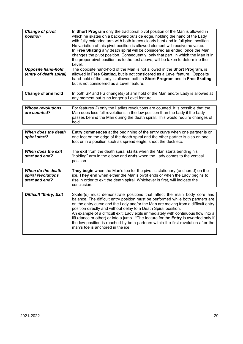| <b>Change of pivot</b><br>position                        | In Short Program only the traditional pivot position of the Man is allowed in<br>which he skates on a backward outside edge, holding the hand of the Lady<br>with fully extended arm with both knees clearly bent and in full pivot position.<br>No variation of this pivot position is allowed element will receive no value.<br>In Free Skating any death spiral will be considered as ended, once the Man<br>changes the pivot position. Consequently, only that part, in which the Man is in<br>the proper pivot position as to the text above, will be taken to determine the<br>Level. |  |  |
|-----------------------------------------------------------|----------------------------------------------------------------------------------------------------------------------------------------------------------------------------------------------------------------------------------------------------------------------------------------------------------------------------------------------------------------------------------------------------------------------------------------------------------------------------------------------------------------------------------------------------------------------------------------------|--|--|
| <b>Opposite hand-hold</b><br>(entry of death spiral)      | The opposite hand-hold of the Man is not allowed in the Short Program, is<br>allowed in Free Skating, but is not considered as a Level feature. Opposite<br>hand-hold of the Lady is allowed both in Short Program and in Free Skating<br>but is not considered as a Level feature.                                                                                                                                                                                                                                                                                                          |  |  |
| Change of arm hold                                        | In both SP and FS change(s) of arm hold of the Man and/or Lady is allowed at<br>any moment but is no longer a Level feature.                                                                                                                                                                                                                                                                                                                                                                                                                                                                 |  |  |
| <b>Whose revolutions</b><br>are counted?                  | For features 2) only the Ladies revolutions are counted. It is possible that the<br>Man does less full revolutions in the low position than the Lady if the Lady<br>passes behind the Man during the death spiral. This would require changes of<br>hold.                                                                                                                                                                                                                                                                                                                                    |  |  |
| When does the death<br>spiral start?                      | Entry commences at the beginning of the entry curve when one partner is on<br>one foot on the edge of the death spiral and the other partner is also on one<br>foot or in a position such as spread eagle, shoot the duck etc.                                                                                                                                                                                                                                                                                                                                                               |  |  |
|                                                           |                                                                                                                                                                                                                                                                                                                                                                                                                                                                                                                                                                                              |  |  |
| When does the exit<br>start and end?                      | The exit from the death spiral starts when the Man starts bending his<br>"holding" arm in the elbow and ends when the Lady comes to the vertical<br>position.                                                                                                                                                                                                                                                                                                                                                                                                                                |  |  |
| When do the death<br>spiral revolutions<br>start and end? | They begin when the Man's toe for the pivot is stationary (anchored) on the<br>ice. They end when either the Man's pivot ends or when the Lady begins to<br>rise in order to exit the death spiral. Whichever is first, will indicate the<br>conclusion.                                                                                                                                                                                                                                                                                                                                     |  |  |